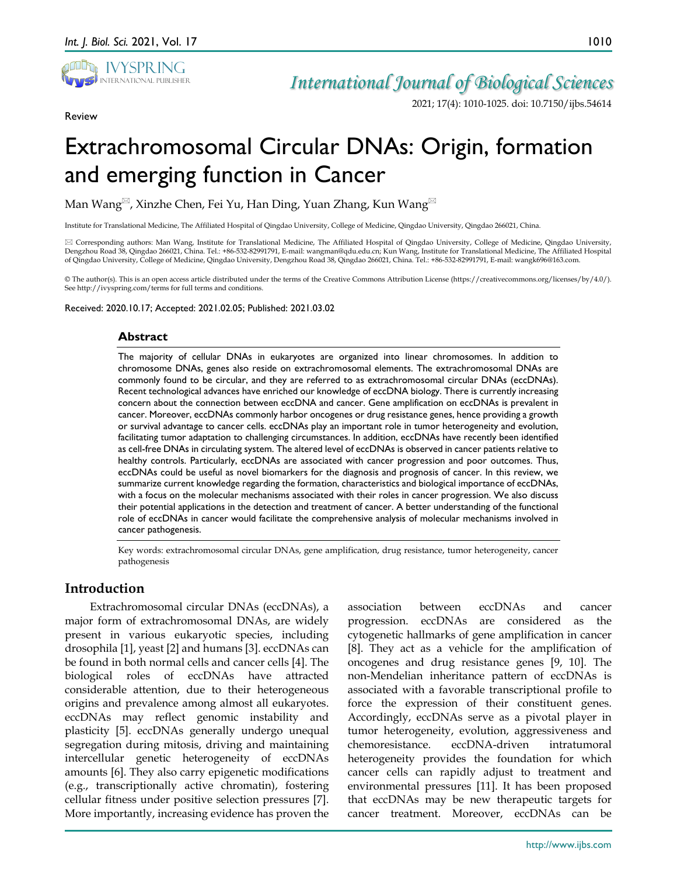

Review

*International Journal of Biological Sciences*

2021; 17(4): 1010-1025. doi: 10.7150/ijbs.54614

# Extrachromosomal Circular DNAs: Origin, formation and emerging function in Cancer

Man Wang<sup> $\boxtimes$ </sup>, Xinzhe Chen, Fei Yu, Han Ding, Yuan Zhang, Kun Wang

Institute for Translational Medicine, The Affiliated Hospital of Qingdao University, College of Medicine, Qingdao University, Qingdao 266021, China.

 Corresponding authors: Man Wang, Institute for Translational Medicine, The Affiliated Hospital of Qingdao University, College of Medicine, Qingdao University, Dengzhou Road 38, Qingdao 266021, China. Tel.: +86-532-82991791, E-mail: wangman@qdu.edu.cn; Kun Wang, Institute for Translational Medicine, The Affiliated Hospital of Qingdao University, College of Medicine, Qingdao University, Dengzhou Road 38, Qingdao 266021, China. Tel.: +86-532-82991791, E-mail: wangk696@163.com.

© The author(s). This is an open access article distributed under the terms of the Creative Commons Attribution License (https://creativecommons.org/licenses/by/4.0/). See http://ivyspring.com/terms for full terms and conditions.

Received: 2020.10.17; Accepted: 2021.02.05; Published: 2021.03.02

#### **Abstract**

The majority of cellular DNAs in eukaryotes are organized into linear chromosomes. In addition to chromosome DNAs, genes also reside on extrachromosomal elements. The extrachromosomal DNAs are commonly found to be circular, and they are referred to as extrachromosomal circular DNAs (eccDNAs). Recent technological advances have enriched our knowledge of eccDNA biology. There is currently increasing concern about the connection between eccDNA and cancer. Gene amplification on eccDNAs is prevalent in cancer. Moreover, eccDNAs commonly harbor oncogenes or drug resistance genes, hence providing a growth or survival advantage to cancer cells. eccDNAs play an important role in tumor heterogeneity and evolution, facilitating tumor adaptation to challenging circumstances. In addition, eccDNAs have recently been identified as cell-free DNAs in circulating system. The altered level of eccDNAs is observed in cancer patients relative to healthy controls. Particularly, eccDNAs are associated with cancer progression and poor outcomes. Thus, eccDNAs could be useful as novel biomarkers for the diagnosis and prognosis of cancer. In this review, we summarize current knowledge regarding the formation, characteristics and biological importance of eccDNAs, with a focus on the molecular mechanisms associated with their roles in cancer progression. We also discuss their potential applications in the detection and treatment of cancer. A better understanding of the functional role of eccDNAs in cancer would facilitate the comprehensive analysis of molecular mechanisms involved in cancer pathogenesis.

Key words: extrachromosomal circular DNAs, gene amplification, drug resistance, tumor heterogeneity, cancer pathogenesis

## **Introduction**

Extrachromosomal circular DNAs (eccDNAs), a major form of extrachromosomal DNAs, are widely present in various eukaryotic species, including drosophila [1], yeast [2] and humans [3]. eccDNAs can be found in both normal cells and cancer cells [4]. The biological roles of eccDNAs have attracted considerable attention, due to their heterogeneous origins and prevalence among almost all eukaryotes. eccDNAs may reflect genomic instability and plasticity [5]. eccDNAs generally undergo unequal segregation during mitosis, driving and maintaining intercellular genetic heterogeneity of eccDNAs amounts [6]. They also carry epigenetic modifications (e.g., transcriptionally active chromatin), fostering cellular fitness under positive selection pressures [7]. More importantly, increasing evidence has proven the

association between eccDNAs and cancer progression. eccDNAs are considered as the cytogenetic hallmarks of gene amplification in cancer [8]. They act as a vehicle for the amplification of oncogenes and drug resistance genes [9, 10]. The non-Mendelian inheritance pattern of eccDNAs is associated with a favorable transcriptional profile to force the expression of their constituent genes. Accordingly, eccDNAs serve as a pivotal player in tumor heterogeneity, evolution, aggressiveness and chemoresistance. eccDNA-driven intratumoral heterogeneity provides the foundation for which cancer cells can rapidly adjust to treatment and environmental pressures [11]. It has been proposed that eccDNAs may be new therapeutic targets for cancer treatment. Moreover, eccDNAs can be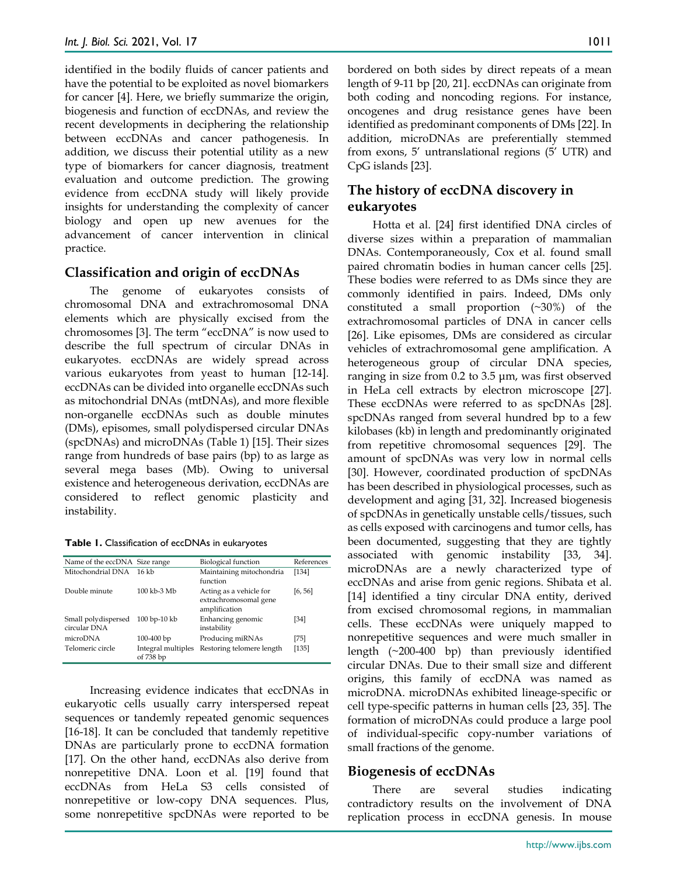identified in the bodily fluids of cancer patients and have the potential to be exploited as novel biomarkers for cancer [4]. Here, we briefly summarize the origin, biogenesis and function of eccDNAs, and review the recent developments in deciphering the relationship between eccDNAs and cancer pathogenesis. In addition, we discuss their potential utility as a new type of biomarkers for cancer diagnosis, treatment evaluation and outcome prediction. The growing evidence from eccDNA study will likely provide insights for understanding the complexity of cancer biology and open up new avenues for the advancement of cancer intervention in clinical practice.

## **Classification and origin of eccDNAs**

The genome of eukaryotes consists of chromosomal DNA and extrachromosomal DNA elements which are physically excised from the chromosomes [3]. The term "eccDNA" is now used to describe the full spectrum of circular DNAs in eukaryotes. eccDNAs are widely spread across various eukaryotes from yeast to human [12-14]. eccDNAs can be divided into organelle eccDNAs such as mitochondrial DNAs (mtDNAs), and more flexible non-organelle eccDNAs such as double minutes (DMs), episomes, small polydispersed circular DNAs (spcDNAs) and microDNAs (Table 1) [15]. Their sizes range from hundreds of base pairs (bp) to as large as several mega bases (Mb). Owing to universal existence and heterogeneous derivation, eccDNAs are considered to reflect genomic plasticity and instability.

**Table 1.** Classification of eccDNAs in eukaryotes

| Name of the eccDNA Size range       |                                 | <b>Biological function</b>                                        | References |
|-------------------------------------|---------------------------------|-------------------------------------------------------------------|------------|
| Mitochondrial DNA                   | $16 \text{ kb}$                 | Maintaining mitochondria<br>function                              | $[134]$    |
| Double minute                       | 100 kb-3 Mb                     | Acting as a vehicle for<br>extrachromosomal gene<br>amplification | [6, 56]    |
| Small polydispersed<br>circular DNA | 100 bp-10 kb                    | Enhancing genomic<br>instability                                  | [34]       |
| microDNA                            | 100-400 bp                      | Producing miRNAs                                                  | [75]       |
| Telomeric circle                    | Integral multiples<br>of 738 bp | Restoring telomere length                                         | [135]      |

Increasing evidence indicates that eccDNAs in eukaryotic cells usually carry interspersed repeat sequences or tandemly repeated genomic sequences [16-18]. It can be concluded that tandemly repetitive DNAs are particularly prone to eccDNA formation [17]. On the other hand, eccDNAs also derive from nonrepetitive DNA. Loon et al. [19] found that eccDNAs from HeLa S3 cells consisted of nonrepetitive or low-copy DNA sequences. Plus, some nonrepetitive spcDNAs were reported to be

bordered on both sides by direct repeats of a mean length of 9-11 bp [20, 21]. eccDNAs can originate from both coding and noncoding regions. For instance, oncogenes and drug resistance genes have been identified as predominant components of DMs [22]. In addition, microDNAs are preferentially stemmed from exons, 5' untranslational regions (5' UTR) and CpG islands [23].

# **The history of eccDNA discovery in eukaryotes**

Hotta et al. [24] first identified DNA circles of diverse sizes within a preparation of mammalian DNAs. Contemporaneously, Cox et al. found small paired chromatin bodies in human cancer cells [25]. These bodies were referred to as DMs since they are commonly identified in pairs. Indeed, DMs only constituted a small proportion (~30%) of the extrachromosomal particles of DNA in cancer cells [26]. Like episomes, DMs are considered as circular vehicles of extrachromosomal gene amplification. A heterogeneous group of circular DNA species, ranging in size from 0.2 to 3.5 μm, was first observed in HeLa cell extracts by electron microscope [27]. These eccDNAs were referred to as spcDNAs [28]. spcDNAs ranged from several hundred bp to a few kilobases (kb) in length and predominantly originated from repetitive chromosomal sequences [29]. The amount of spcDNAs was very low in normal cells [30]. However, coordinated production of spcDNAs has been described in physiological processes, such as development and aging [31, 32]. Increased biogenesis of spcDNAs in genetically unstable cells/tissues, such as cells exposed with carcinogens and tumor cells, has been documented, suggesting that they are tightly associated with genomic instability [33, 34]. microDNAs are a newly characterized type of eccDNAs and arise from genic regions. Shibata et al. [14] identified a tiny circular DNA entity, derived from excised chromosomal regions, in mammalian cells. These eccDNAs were uniquely mapped to nonrepetitive sequences and were much smaller in length (~200-400 bp) than previously identified circular DNAs. Due to their small size and different origins, this family of eccDNA was named as microDNA. microDNAs exhibited lineage-specific or cell type-specific patterns in human cells [23, 35]. The formation of microDNAs could produce a large pool of individual-specific copy-number variations of small fractions of the genome.

## **Biogenesis of eccDNAs**

There are several studies indicating contradictory results on the involvement of DNA replication process in eccDNA genesis. In mouse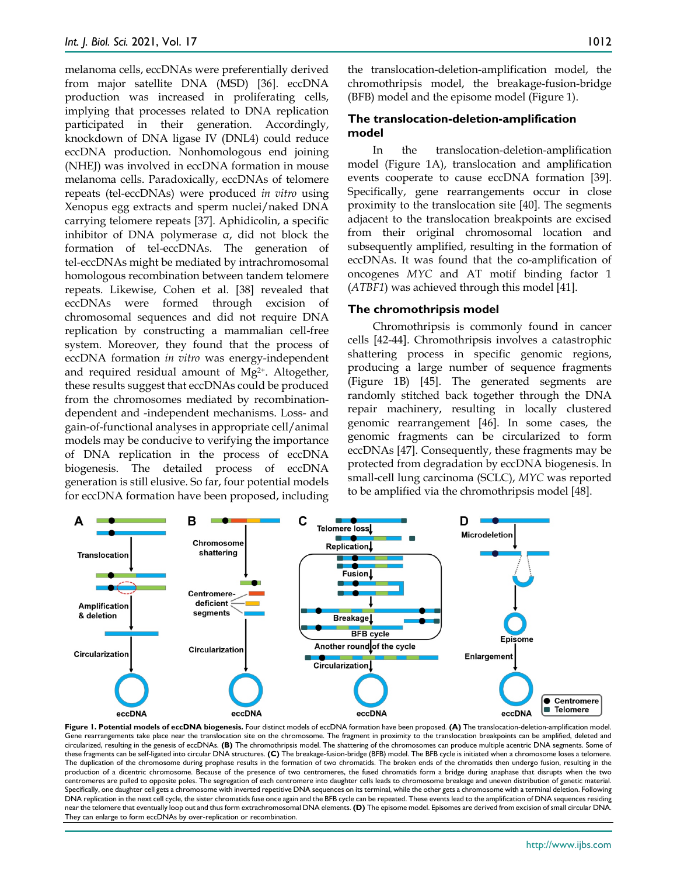melanoma cells, eccDNAs were preferentially derived from major satellite DNA (MSD) [36]. eccDNA production was increased in proliferating cells, implying that processes related to DNA replication participated in their generation. Accordingly, knockdown of DNA ligase IV (DNL4) could reduce eccDNA production. Nonhomologous end joining (NHEJ) was involved in eccDNA formation in mouse melanoma cells. Paradoxically, eccDNAs of telomere repeats (tel-eccDNAs) were produced *in vitro* using Xenopus egg extracts and sperm nuclei/naked DNA carrying telomere repeats [37]. Aphidicolin, a specific inhibitor of DNA polymerase α, did not block the formation of tel-eccDNAs. The generation of tel-eccDNAs might be mediated by intrachromosomal homologous recombination between tandem telomere repeats. Likewise, Cohen et al. [38] revealed that eccDNAs were formed through excision of chromosomal sequences and did not require DNA replication by constructing a mammalian cell-free system. Moreover, they found that the process of eccDNA formation *in vitro* was energy-independent and required residual amount of Mg2+. Altogether, these results suggest that eccDNAs could be produced from the chromosomes mediated by recombinationdependent and -independent mechanisms. Loss- and gain-of-functional analyses in appropriate cell/animal models may be conducive to verifying the importance of DNA replication in the process of eccDNA biogenesis. The detailed process of eccDNA generation is still elusive. So far, four potential models for eccDNA formation have been proposed, including

the translocation-deletion-amplification model, the chromothripsis model, the breakage-fusion-bridge (BFB) model and the episome model (Figure 1).

#### **The translocation-deletion-amplification model**

In the translocation-deletion-amplification model (Figure 1A), translocation and amplification events cooperate to cause eccDNA formation [39]. Specifically, gene rearrangements occur in close proximity to the translocation site [40]. The segments adjacent to the translocation breakpoints are excised from their original chromosomal location and subsequently amplified, resulting in the formation of eccDNAs. It was found that the co-amplification of oncogenes *MYC* and AT motif binding factor 1 (*ATBF1*) was achieved through this model [41].

#### **The chromothripsis model**

Chromothripsis is commonly found in cancer cells [42-44]. Chromothripsis involves a catastrophic shattering process in specific genomic regions, producing a large number of sequence fragments (Figure 1B) [45]. The generated segments are randomly stitched back together through the DNA repair machinery, resulting in locally clustered genomic rearrangement [46]. In some cases, the genomic fragments can be circularized to form eccDNAs [47]. Consequently, these fragments may be protected from degradation by eccDNA biogenesis. In small-cell lung carcinoma (SCLC), *MYC* was reported to be amplified via the chromothripsis model [48].



**Figure 1. Potential models of eccDNA biogenesis.** Four distinct models of eccDNA formation have been proposed. **(A)** The translocation-deletion-amplification model. Gene rearrangements take place near the translocation site on the chromosome. The fragment in proximity to the translocation breakpoints can be amplified, deleted and circularized, resulting in the genesis of eccDNAs. **(B)** The chromothripsis model. The shattering of the chromosomes can produce multiple acentric DNA segments. Some of these fragments can be self-ligated into circular DNA structures. **(C)** The breakage-fusion-bridge (BFB) model. The BFB cycle is initiated when a chromosome loses a telomere. The duplication of the chromosome during prophase results in the formation of two chromatids. The broken ends of the chromatids then undergo fusion, resulting in the production of a dicentric chromosome. Because of the presence of two centromeres, the fused chromatids form a bridge during anaphase that disrupts when the two centromeres are pulled to opposite poles. The segregation of each centromere into daughter cells leads to chromosome breakage and uneven distribution of genetic material. Specifically, one daughter cell gets a chromosome with inverted repetitive DNA sequences on its terminal, while the other gets a chromosome with a terminal deletion. Following DNA replication in the next cell cycle, the sister chromatids fuse once again and the BFB cycle can be repeated. These events lead to the amplification of DNA sequences residing near the telomere that eventually loop out and thus form extrachromosomal DNA elements. **(D)** The episome model. Episomes are derived from excision of small circular DNA. They can enlarge to form eccDNAs by over-replication or recombination.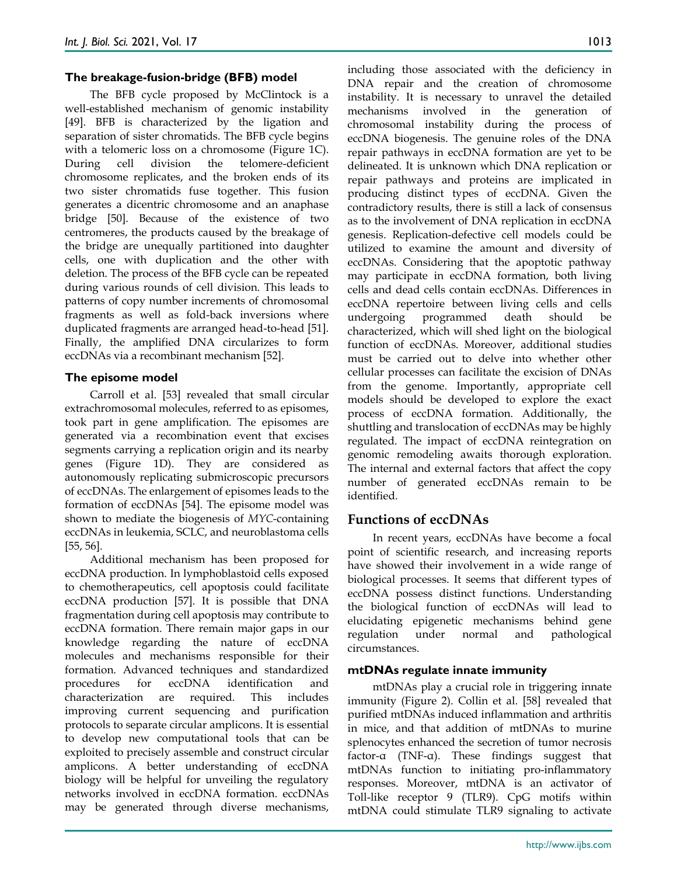#### **The breakage-fusion-bridge (BFB) model**

The BFB cycle proposed by McClintock is a well-established mechanism of genomic instability [49]. BFB is characterized by the ligation and separation of sister chromatids. The BFB cycle begins with a telomeric loss on a chromosome (Figure 1C). During cell division the telomere-deficient chromosome replicates, and the broken ends of its two sister chromatids fuse together. This fusion generates a dicentric chromosome and an anaphase bridge [50]. Because of the existence of two centromeres, the products caused by the breakage of the bridge are unequally partitioned into daughter cells, one with duplication and the other with deletion. The process of the BFB cycle can be repeated during various rounds of cell division. This leads to patterns of copy number increments of chromosomal fragments as well as fold-back inversions where duplicated fragments are arranged head-to-head [51]. Finally, the amplified DNA circularizes to form eccDNAs via a recombinant mechanism [52].

#### **The episome model**

Carroll et al. [53] revealed that small circular extrachromosomal molecules, referred to as episomes, took part in gene amplification. The episomes are generated via a recombination event that excises segments carrying a replication origin and its nearby genes (Figure 1D). They are considered as autonomously replicating submicroscopic precursors of eccDNAs. The enlargement of episomes leads to the formation of eccDNAs [54]. The episome model was shown to mediate the biogenesis of *MYC*-containing eccDNAs in leukemia, SCLC, and neuroblastoma cells [55, 56].

Additional mechanism has been proposed for eccDNA production. In lymphoblastoid cells exposed to chemotherapeutics, cell apoptosis could facilitate eccDNA production [57]. It is possible that DNA fragmentation during cell apoptosis may contribute to eccDNA formation. There remain major gaps in our knowledge regarding the nature of eccDNA molecules and mechanisms responsible for their formation. Advanced techniques and standardized procedures for eccDNA identification and characterization are required. This includes improving current sequencing and purification protocols to separate circular amplicons. It is essential to develop new computational tools that can be exploited to precisely assemble and construct circular amplicons. A better understanding of eccDNA biology will be helpful for unveiling the regulatory networks involved in eccDNA formation. eccDNAs may be generated through diverse mechanisms,

including those associated with the deficiency in DNA repair and the creation of chromosome instability. It is necessary to unravel the detailed mechanisms involved in the generation of chromosomal instability during the process of eccDNA biogenesis. The genuine roles of the DNA repair pathways in eccDNA formation are yet to be delineated. It is unknown which DNA replication or repair pathways and proteins are implicated in producing distinct types of eccDNA. Given the contradictory results, there is still a lack of consensus as to the involvement of DNA replication in eccDNA genesis. Replication-defective cell models could be utilized to examine the amount and diversity of eccDNAs. Considering that the apoptotic pathway may participate in eccDNA formation, both living cells and dead cells contain eccDNAs. Differences in eccDNA repertoire between living cells and cells undergoing programmed death should be characterized, which will shed light on the biological function of eccDNAs. Moreover, additional studies must be carried out to delve into whether other cellular processes can facilitate the excision of DNAs from the genome. Importantly, appropriate cell models should be developed to explore the exact process of eccDNA formation. Additionally, the shuttling and translocation of eccDNAs may be highly regulated. The impact of eccDNA reintegration on genomic remodeling awaits thorough exploration. The internal and external factors that affect the copy number of generated eccDNAs remain to be identified.

## **Functions of eccDNAs**

In recent years, eccDNAs have become a focal point of scientific research, and increasing reports have showed their involvement in a wide range of biological processes. It seems that different types of eccDNA possess distinct functions. Understanding the biological function of eccDNAs will lead to elucidating epigenetic mechanisms behind gene regulation under normal and pathological circumstances.

#### **mtDNAs regulate innate immunity**

mtDNAs play a crucial role in triggering innate immunity (Figure 2). Collin et al. [58] revealed that purified mtDNAs induced inflammation and arthritis in mice, and that addition of mtDNAs to murine splenocytes enhanced the secretion of tumor necrosis factor-α (TNF-α). These findings suggest that mtDNAs function to initiating pro-inflammatory responses. Moreover, mtDNA is an activator of Toll-like receptor 9 (TLR9). CpG motifs within mtDNA could stimulate TLR9 signaling to activate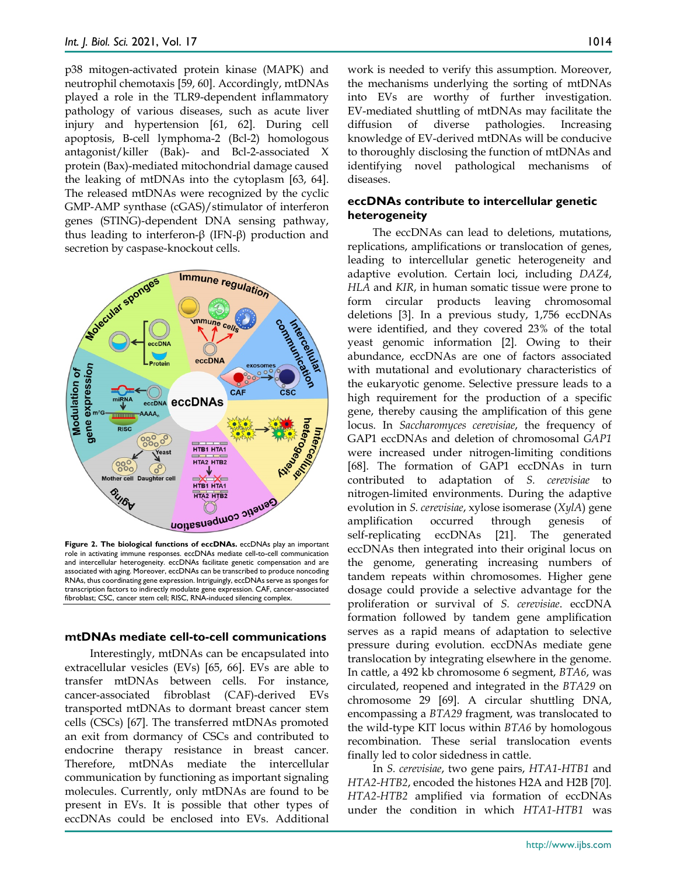p38 mitogen-activated protein kinase (MAPK) and neutrophil chemotaxis [59, 60]. Accordingly, mtDNAs played a role in the TLR9-dependent inflammatory pathology of various diseases, such as acute liver injury and hypertension [61, 62]. During cell apoptosis, B-cell lymphoma-2 (Bcl-2) homologous antagonist/killer (Bak)- and Bcl-2-associated X protein (Bax)-mediated mitochondrial damage caused the leaking of mtDNAs into the cytoplasm [63, 64]. The released mtDNAs were recognized by the cyclic GMP-AMP synthase (cGAS)/stimulator of interferon genes (STING)-dependent DNA sensing pathway, thus leading to interferon-β (IFN-β) production and secretion by caspase-knockout cells.



**Figure 2. The biological functions of eccDNAs.** eccDNAs play an important role in activating immune responses. eccDNAs mediate cell-to-cell communication and intercellular heterogeneity. eccDNAs facilitate genetic compensation and are associated with aging. Moreover, eccDNAs can be transcribed to produce noncoding RNAs, thus coordinating gene expression. Intriguingly, eccDNAs serve as sponges for transcription factors to indirectly modulate gene expression. CAF, cancer-associated fibroblast; CSC, cancer stem cell; RISC, RNA-induced silencing complex.

#### **mtDNAs mediate cell-to-cell communications**

Interestingly, mtDNAs can be encapsulated into extracellular vesicles (EVs) [65, 66]. EVs are able to transfer mtDNAs between cells. For instance, cancer-associated fibroblast (CAF)-derived EVs transported mtDNAs to dormant breast cancer stem cells (CSCs) [67]. The transferred mtDNAs promoted an exit from dormancy of CSCs and contributed to endocrine therapy resistance in breast cancer. Therefore, mtDNAs mediate the intercellular communication by functioning as important signaling molecules. Currently, only mtDNAs are found to be present in EVs. It is possible that other types of eccDNAs could be enclosed into EVs. Additional work is needed to verify this assumption. Moreover, the mechanisms underlying the sorting of mtDNAs into EVs are worthy of further investigation. EV-mediated shuttling of mtDNAs may facilitate the diffusion of diverse pathologies. Increasing knowledge of EV-derived mtDNAs will be conducive to thoroughly disclosing the function of mtDNAs and identifying novel pathological mechanisms of diseases.

#### **eccDNAs contribute to intercellular genetic heterogeneity**

The eccDNAs can lead to deletions, mutations, replications, amplifications or translocation of genes, leading to intercellular genetic heterogeneity and adaptive evolution. Certain loci, including *DAZ4*, *HLA* and *KIR*, in human somatic tissue were prone to form circular products leaving chromosomal deletions [3]. In a previous study, 1,756 eccDNAs were identified, and they covered 23% of the total yeast genomic information [2]. Owing to their abundance, eccDNAs are one of factors associated with mutational and evolutionary characteristics of the eukaryotic genome. Selective pressure leads to a high requirement for the production of a specific gene, thereby causing the amplification of this gene locus. In *Saccharomyces cerevisiae*, the frequency of GAP1 eccDNAs and deletion of chromosomal *GAP1* were increased under nitrogen-limiting conditions [68]. The formation of GAP1 eccDNAs in turn contributed to adaptation of *S. cerevisiae* to nitrogen-limited environments. During the adaptive evolution in *S. cerevisiae*, xylose isomerase (*XylA*) gene amplification occurred through genesis of self-replicating eccDNAs [21]. The generated eccDNAs then integrated into their original locus on the genome, generating increasing numbers of tandem repeats within chromosomes. Higher gene dosage could provide a selective advantage for the proliferation or survival of *S. cerevisiae*. eccDNA formation followed by tandem gene amplification serves as a rapid means of adaptation to selective pressure during evolution. eccDNAs mediate gene translocation by integrating elsewhere in the genome. In cattle, a 492 kb chromosome 6 segment, *BTA6*, was circulated, reopened and integrated in the *BTA29* on chromosome 29 [69]. A circular shuttling DNA, encompassing a *BTA29* fragment, was translocated to the wild-type KIT locus within *BTA6* by homologous recombination. These serial translocation events finally led to color sidedness in cattle.

In *S. cerevisiae*, two gene pairs, *HTA1-HTB1* and *HTA2-HTB2*, encoded the histones H2A and H2B [70]. *HTA2-HTB2* amplified via formation of eccDNAs under the condition in which *HTA1-HTB1* was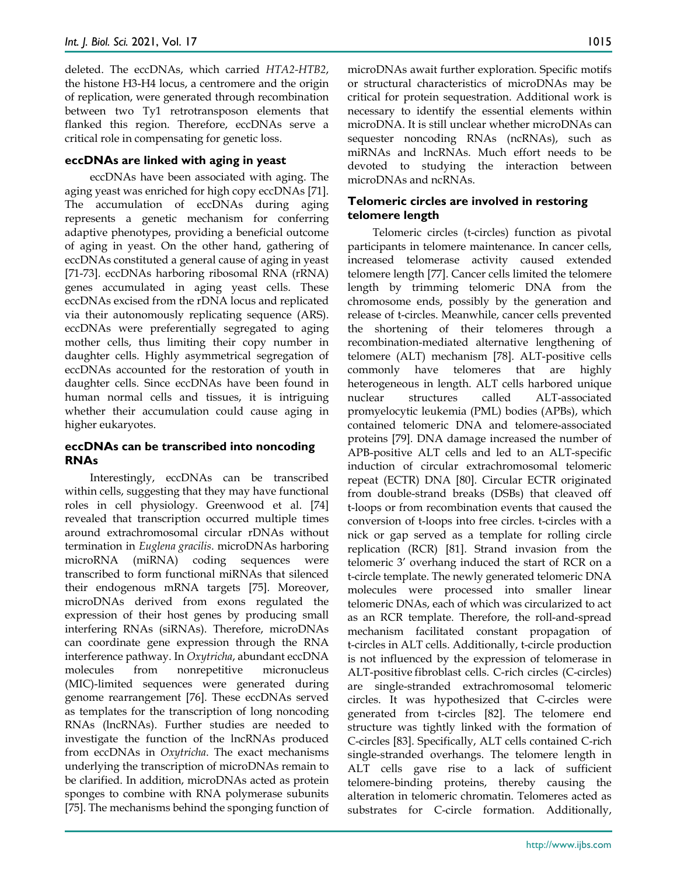deleted. The eccDNAs, which carried *HTA2-HTB2*, the histone H3-H4 locus, a centromere and the origin of replication, were generated through recombination between two Ty1 retrotransposon elements that flanked this region. Therefore, eccDNAs serve a critical role in compensating for genetic loss.

#### **eccDNAs are linked with aging in yeast**

eccDNAs have been associated with aging. The aging yeast was enriched for high copy eccDNAs [71]. The accumulation of eccDNAs during aging represents a genetic mechanism for conferring adaptive phenotypes, providing a beneficial outcome of aging in yeast. On the other hand, gathering of eccDNAs constituted a general cause of aging in yeast [71-73]. eccDNAs harboring ribosomal RNA (rRNA) genes accumulated in aging yeast cells. These eccDNAs excised from the rDNA locus and replicated via their autonomously replicating sequence (ARS). eccDNAs were preferentially segregated to aging mother cells, thus limiting their copy number in daughter cells. Highly asymmetrical segregation of eccDNAs accounted for the restoration of youth in daughter cells. Since eccDNAs have been found in human normal cells and tissues, it is intriguing whether their accumulation could cause aging in higher eukaryotes.

#### **eccDNAs can be transcribed into noncoding RNAs**

Interestingly, eccDNAs can be transcribed within cells, suggesting that they may have functional roles in cell physiology. Greenwood et al. [74] revealed that transcription occurred multiple times around extrachromosomal circular rDNAs without termination in *Euglena gracilis*. microDNAs harboring microRNA (miRNA) coding sequences were transcribed to form functional miRNAs that silenced their endogenous mRNA targets [75]. Moreover, microDNAs derived from exons regulated the expression of their host genes by producing small interfering RNAs (siRNAs). Therefore, microDNAs can coordinate gene expression through the RNA interference pathway. In *Oxytricha*, abundant eccDNA molecules from nonrepetitive micronucleus (MIC)-limited sequences were generated during genome rearrangement [76]. These eccDNAs served as templates for the transcription of long noncoding RNAs (lncRNAs). Further studies are needed to investigate the function of the lncRNAs produced from eccDNAs in *Oxytricha*. The exact mechanisms underlying the transcription of microDNAs remain to be clarified. In addition, microDNAs acted as protein sponges to combine with RNA polymerase subunits [75]. The mechanisms behind the sponging function of

microDNAs await further exploration. Specific motifs or structural characteristics of microDNAs may be critical for protein sequestration. Additional work is necessary to identify the essential elements within microDNA. It is still unclear whether microDNAs can sequester noncoding RNAs (ncRNAs), such as miRNAs and lncRNAs. Much effort needs to be devoted to studying the interaction between microDNAs and ncRNAs.

#### **Telomeric circles are involved in restoring telomere length**

Telomeric circles (t-circles) function as pivotal participants in telomere maintenance. In cancer cells, increased telomerase activity caused extended telomere length [77]. Cancer cells limited the telomere length by trimming telomeric DNA from the chromosome ends, possibly by the generation and release of t-circles. Meanwhile, cancer cells prevented the shortening of their telomeres through a recombination-mediated alternative lengthening of telomere (ALT) mechanism [78]. ALT-positive cells commonly have telomeres that are highly heterogeneous in length. ALT cells harbored unique nuclear structures called ALT-associated promyelocytic leukemia (PML) bodies (APBs), which contained telomeric DNA and telomere-associated proteins [79]. DNA damage increased the number of APB-positive ALT cells and led to an ALT-specific induction of circular extrachromosomal telomeric repeat (ECTR) DNA [80]. Circular ECTR originated from double-strand breaks (DSBs) that cleaved off t-loops or from recombination events that caused the conversion of t-loops into free circles. t-circles with a nick or gap served as a template for rolling circle replication (RCR) [81]. Strand invasion from the telomeric 3' overhang induced the start of RCR on a t-circle template. The newly generated telomeric DNA molecules were processed into smaller linear telomeric DNAs, each of which was circularized to act as an RCR template. Therefore, the roll-and-spread mechanism facilitated constant propagation of t-circles in ALT cells. Additionally, t-circle production is not influenced by the expression of telomerase in ALT-positive fibroblast cells. C-rich circles (C-circles) are single-stranded extrachromosomal telomeric circles. It was hypothesized that C-circles were generated from t-circles [82]. The telomere end structure was tightly linked with the formation of C-circles [83]. Specifically, ALT cells contained C-rich single-stranded overhangs. The telomere length in ALT cells gave rise to a lack of sufficient telomere-binding proteins, thereby causing the alteration in telomeric chromatin. Telomeres acted as substrates for C-circle formation. Additionally,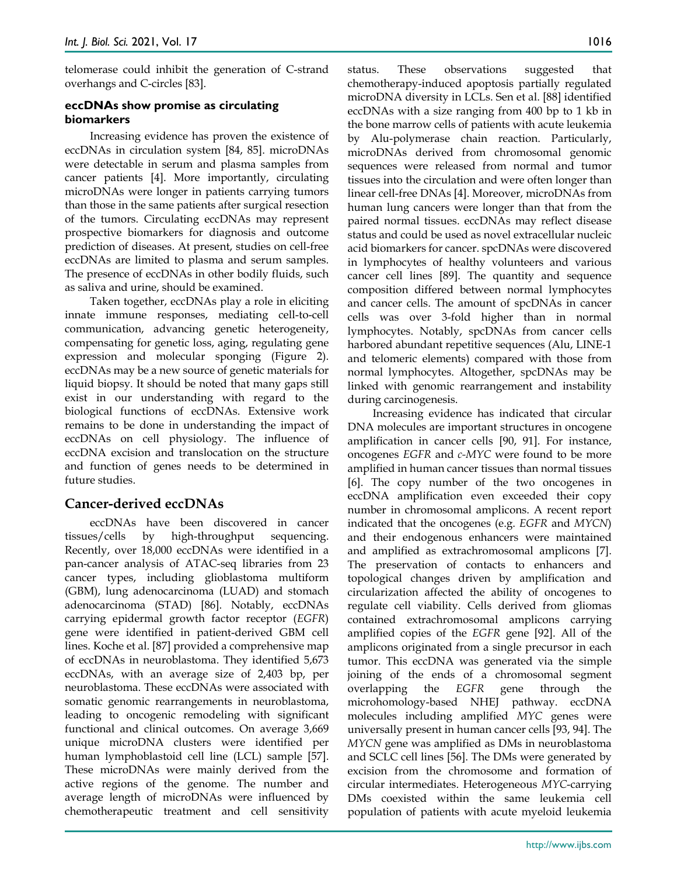telomerase could inhibit the generation of C-strand overhangs and C-circles [83].

#### **eccDNAs show promise as circulating biomarkers**

Increasing evidence has proven the existence of eccDNAs in circulation system [84, 85]. microDNAs were detectable in serum and plasma samples from cancer patients [4]. More importantly, circulating microDNAs were longer in patients carrying tumors than those in the same patients after surgical resection of the tumors. Circulating eccDNAs may represent prospective biomarkers for diagnosis and outcome prediction of diseases. At present, studies on cell-free eccDNAs are limited to plasma and serum samples. The presence of eccDNAs in other bodily fluids, such as saliva and urine, should be examined.

Taken together, eccDNAs play a role in eliciting innate immune responses, mediating cell-to-cell communication, advancing genetic heterogeneity, compensating for genetic loss, aging, regulating gene expression and molecular sponging (Figure 2). eccDNAs may be a new source of genetic materials for liquid biopsy. It should be noted that many gaps still exist in our understanding with regard to the biological functions of eccDNAs. Extensive work remains to be done in understanding the impact of eccDNAs on cell physiology. The influence of eccDNA excision and translocation on the structure and function of genes needs to be determined in future studies.

## **Cancer-derived eccDNAs**

eccDNAs have been discovered in cancer tissues/cells by high-throughput sequencing. Recently, over 18,000 eccDNAs were identified in a pan-cancer analysis of ATAC-seq libraries from 23 cancer types, including glioblastoma multiform (GBM), lung adenocarcinoma (LUAD) and stomach adenocarcinoma (STAD) [86]. Notably, eccDNAs carrying epidermal growth factor receptor (*EGFR*) gene were identified in patient-derived GBM cell lines. Koche et al. [87] provided a comprehensive map of eccDNAs in neuroblastoma. They identified 5,673 eccDNAs, with an average size of 2,403 bp, per neuroblastoma. These eccDNAs were associated with somatic genomic rearrangements in neuroblastoma, leading to oncogenic remodeling with significant functional and clinical outcomes. On average 3,669 unique microDNA clusters were identified per human lymphoblastoid cell line (LCL) sample [57]. These microDNAs were mainly derived from the active regions of the genome. The number and average length of microDNAs were influenced by chemotherapeutic treatment and cell sensitivity

status. These observations suggested that chemotherapy-induced apoptosis partially regulated microDNA diversity in LCLs. Sen et al. [88] identified eccDNAs with a size ranging from 400 bp to 1 kb in the bone marrow cells of patients with acute leukemia by Alu-polymerase chain reaction. Particularly, microDNAs derived from chromosomal genomic sequences were released from normal and tumor tissues into the circulation and were often longer than linear cell-free DNAs [4]. Moreover, microDNAs from human lung cancers were longer than that from the paired normal tissues. eccDNAs may reflect disease status and could be used as novel extracellular nucleic acid biomarkers for cancer. spcDNAs were discovered in lymphocytes of healthy volunteers and various cancer cell lines [89]. The quantity and sequence composition differed between normal lymphocytes and cancer cells. The amount of spcDNAs in cancer cells was over 3-fold higher than in normal lymphocytes. Notably, spcDNAs from cancer cells harbored abundant repetitive sequences (Alu, LINE-1 and telomeric elements) compared with those from normal lymphocytes. Altogether, spcDNAs may be linked with genomic rearrangement and instability during carcinogenesis.

Increasing evidence has indicated that circular DNA molecules are important structures in oncogene amplification in cancer cells [90, 91]. For instance, oncogenes *EGFR* and *c-MYC* were found to be more amplified in human cancer tissues than normal tissues [6]. The copy number of the two oncogenes in eccDNA amplification even exceeded their copy number in chromosomal amplicons. A recent report indicated that the oncogenes (e.g. *EGFR* and *MYCN*) and their endogenous enhancers were maintained and amplified as extrachromosomal amplicons [7]. The preservation of contacts to enhancers and topological changes driven by amplification and circularization affected the ability of oncogenes to regulate cell viability. Cells derived from gliomas contained extrachromosomal amplicons carrying amplified copies of the *EGFR* gene [92]. All of the amplicons originated from a single precursor in each tumor. This eccDNA was generated via the simple joining of the ends of a chromosomal segment overlapping the *EGFR* gene through the microhomology-based NHEJ pathway. eccDNA molecules including amplified *MYC* genes were universally present in human cancer cells [93, 94]. The *MYCN* gene was amplified as DMs in neuroblastoma and SCLC cell lines [56]. The DMs were generated by excision from the chromosome and formation of circular intermediates. Heterogeneous *MYC*-carrying DMs coexisted within the same leukemia cell population of patients with acute myeloid leukemia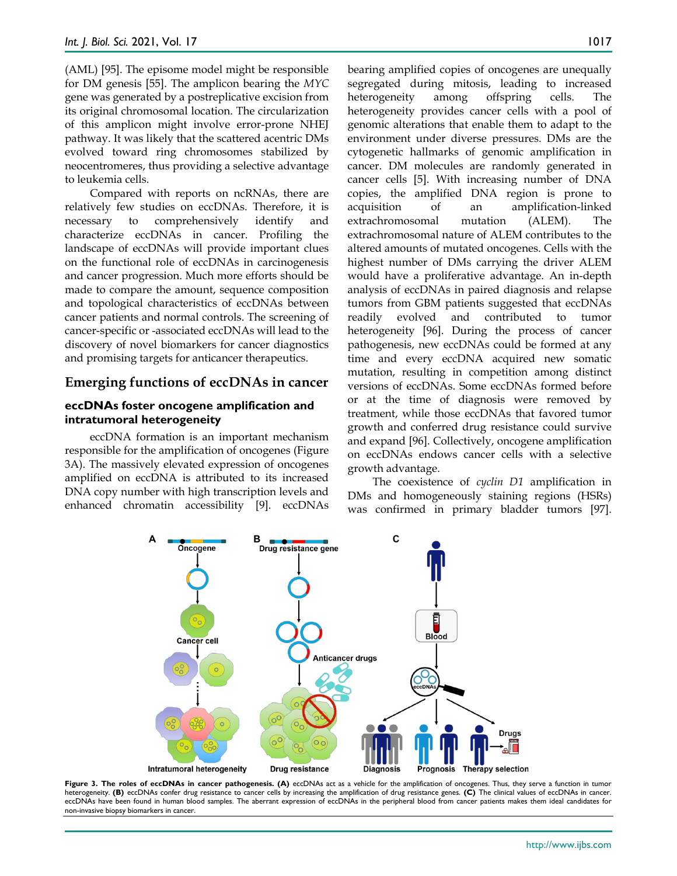(AML) [95]. The episome model might be responsible for DM genesis [55]. The amplicon bearing the *MYC* gene was generated by a postreplicative excision from its original chromosomal location. The circularization of this amplicon might involve error-prone NHEJ pathway. It was likely that the scattered acentric DMs evolved toward ring chromosomes stabilized by neocentromeres, thus providing a selective advantage to leukemia cells.

Compared with reports on ncRNAs, there are relatively few studies on eccDNAs. Therefore, it is necessary to comprehensively identify and characterize eccDNAs in cancer. Profiling the landscape of eccDNAs will provide important clues on the functional role of eccDNAs in carcinogenesis and cancer progression. Much more efforts should be made to compare the amount, sequence composition and topological characteristics of eccDNAs between cancer patients and normal controls. The screening of cancer-specific or -associated eccDNAs will lead to the discovery of novel biomarkers for cancer diagnostics and promising targets for anticancer therapeutics.

#### **Emerging functions of eccDNAs in cancer**

#### **eccDNAs foster oncogene amplification and intratumoral heterogeneity**

eccDNA formation is an important mechanism responsible for the amplification of oncogenes (Figure 3A). The massively elevated expression of oncogenes amplified on eccDNA is attributed to its increased DNA copy number with high transcription levels and enhanced chromatin accessibility [9]. eccDNAs bearing amplified copies of oncogenes are unequally segregated during mitosis, leading to increased heterogeneity among offspring cells. The heterogeneity provides cancer cells with a pool of genomic alterations that enable them to adapt to the environment under diverse pressures. DMs are the cytogenetic hallmarks of genomic amplification in cancer. DM molecules are randomly generated in cancer cells [5]. With increasing number of DNA copies, the amplified DNA region is prone to acquisition of an amplification-linked extrachromosomal mutation (ALEM). The extrachromosomal nature of ALEM contributes to the altered amounts of mutated oncogenes. Cells with the highest number of DMs carrying the driver ALEM would have a proliferative advantage. An in-depth analysis of eccDNAs in paired diagnosis and relapse tumors from GBM patients suggested that eccDNAs readily evolved and contributed to tumor heterogeneity [96]. During the process of cancer pathogenesis, new eccDNAs could be formed at any time and every eccDNA acquired new somatic mutation, resulting in competition among distinct versions of eccDNAs. Some eccDNAs formed before or at the time of diagnosis were removed by treatment, while those eccDNAs that favored tumor growth and conferred drug resistance could survive and expand [96]. Collectively, oncogene amplification on eccDNAs endows cancer cells with a selective growth advantage.

The coexistence of *cyclin D1* amplification in DMs and homogeneously staining regions (HSRs) was confirmed in primary bladder tumors [97].



**Figure 3. The roles of eccDNAs in cancer pathogenesis. (A)** eccDNAs act as a vehicle for the amplification of oncogenes. Thus, they serve a function in tumor heterogeneity. **(B)** eccDNAs confer drug resistance to cancer cells by increasing the amplification of drug resistance genes. **(C)** The clinical values of eccDNAs in cancer. eccDNAs have been found in human blood samples. The aberrant expression of eccDNAs in the peripheral blood from cancer patients makes them ideal candidates for non-invasive biopsy biomarkers in cancer.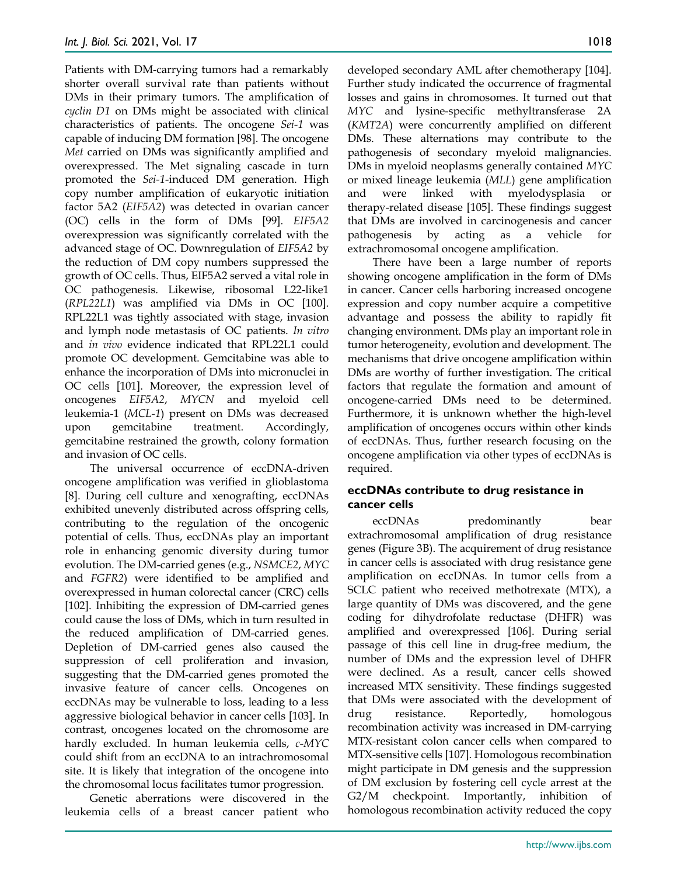Patients with DM-carrying tumors had a remarkably shorter overall survival rate than patients without DMs in their primary tumors. The amplification of *cyclin D1* on DMs might be associated with clinical characteristics of patients. The oncogene *Sei-1* was capable of inducing DM formation [98]. The oncogene *Met* carried on DMs was significantly amplified and overexpressed. The Met signaling cascade in turn promoted the *Sei-1*-induced DM generation. High copy number amplification of eukaryotic initiation factor 5A2 (*EIF5A2*) was detected in ovarian cancer (OC) cells in the form of DMs [99]. *EIF5A2* overexpression was significantly correlated with the advanced stage of OC. Downregulation of *EIF5A2* by the reduction of DM copy numbers suppressed the growth of OC cells. Thus, EIF5A2 served a vital role in OC pathogenesis. Likewise, ribosomal L22-like1 (*RPL22L1*) was amplified via DMs in OC [100]. RPL22L1 was tightly associated with stage, invasion and lymph node metastasis of OC patients. *In vitro* and *in vivo* evidence indicated that RPL22L1 could promote OC development. Gemcitabine was able to enhance the incorporation of DMs into micronuclei in OC cells [101]. Moreover, the expression level of oncogenes *EIF5A2*, *MYCN* and myeloid cell leukemia-1 (*MCL-1*) present on DMs was decreased upon gemcitabine treatment. Accordingly, gemcitabine restrained the growth, colony formation and invasion of OC cells.

The universal occurrence of eccDNA-driven oncogene amplification was verified in glioblastoma [8]. During cell culture and xenografting, eccDNAs exhibited unevenly distributed across offspring cells, contributing to the regulation of the oncogenic potential of cells. Thus, eccDNAs play an important role in enhancing genomic diversity during tumor evolution. The DM-carried genes (e.g., *NSMCE2*, *MYC* and *FGFR2*) were identified to be amplified and overexpressed in human colorectal cancer (CRC) cells [102]. Inhibiting the expression of DM-carried genes could cause the loss of DMs, which in turn resulted in the reduced amplification of DM-carried genes. Depletion of DM-carried genes also caused the suppression of cell proliferation and invasion, suggesting that the DM-carried genes promoted the invasive feature of cancer cells. Oncogenes on eccDNAs may be vulnerable to loss, leading to a less aggressive biological behavior in cancer cells [103]. In contrast, oncogenes located on the chromosome are hardly excluded. In human leukemia cells, *c-MYC* could shift from an eccDNA to an intrachromosomal site. It is likely that integration of the oncogene into the chromosomal locus facilitates tumor progression.

Genetic aberrations were discovered in the leukemia cells of a breast cancer patient who developed secondary AML after chemotherapy [104]. Further study indicated the occurrence of fragmental losses and gains in chromosomes. It turned out that *MYC* and lysine-specific methyltransferase 2A (*KMT2A*) were concurrently amplified on different DMs. These alternations may contribute to the pathogenesis of secondary myeloid malignancies. DMs in myeloid neoplasms generally contained *MYC* or mixed lineage leukemia (*MLL*) gene amplification and were linked with myelodysplasia or therapy-related disease [105]. These findings suggest that DMs are involved in carcinogenesis and cancer pathogenesis by acting as a vehicle for extrachromosomal oncogene amplification.

There have been a large number of reports showing oncogene amplification in the form of DMs in cancer. Cancer cells harboring increased oncogene expression and copy number acquire a competitive advantage and possess the ability to rapidly fit changing environment. DMs play an important role in tumor heterogeneity, evolution and development. The mechanisms that drive oncogene amplification within DMs are worthy of further investigation. The critical factors that regulate the formation and amount of oncogene-carried DMs need to be determined. Furthermore, it is unknown whether the high-level amplification of oncogenes occurs within other kinds of eccDNAs. Thus, further research focusing on the oncogene amplification via other types of eccDNAs is required.

#### **eccDNAs contribute to drug resistance in cancer cells**

eccDNAs predominantly bear extrachromosomal amplification of drug resistance genes (Figure 3B). The acquirement of drug resistance in cancer cells is associated with drug resistance gene amplification on eccDNAs. In tumor cells from a SCLC patient who received methotrexate (MTX), a large quantity of DMs was discovered, and the gene coding for dihydrofolate reductase (DHFR) was amplified and overexpressed [106]. During serial passage of this cell line in drug-free medium, the number of DMs and the expression level of DHFR were declined. As a result, cancer cells showed increased MTX sensitivity. These findings suggested that DMs were associated with the development of drug resistance. Reportedly, homologous recombination activity was increased in DM-carrying MTX-resistant colon cancer cells when compared to MTX-sensitive cells [107]. Homologous recombination might participate in DM genesis and the suppression of DM exclusion by fostering cell cycle arrest at the G2/M checkpoint. Importantly, inhibition of homologous recombination activity reduced the copy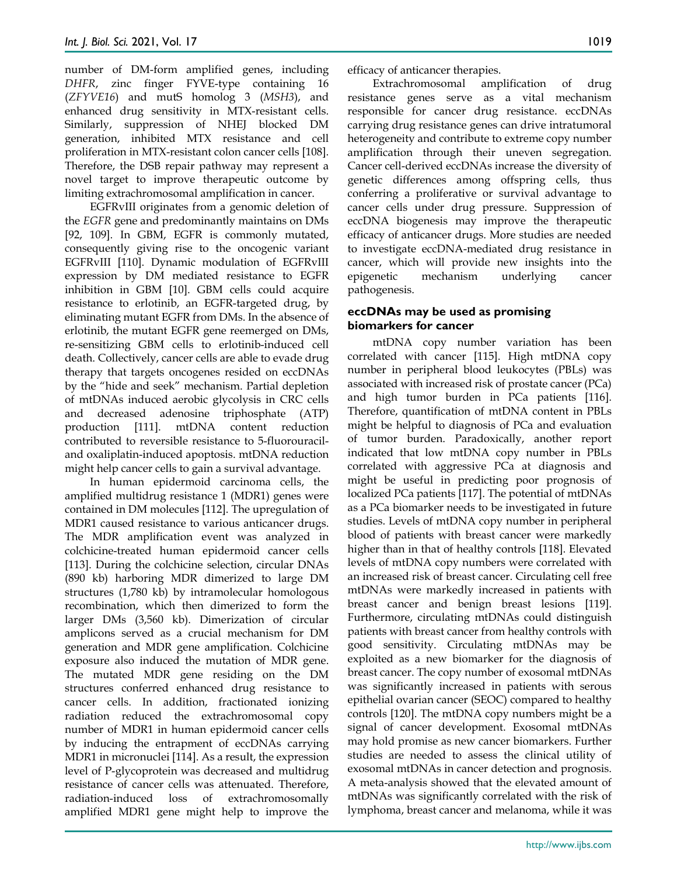number of DM-form amplified genes, including *DHFR*, zinc finger FYVE-type containing 16 (*ZFYVE16*) and mutS homolog 3 (*MSH3*), and enhanced drug sensitivity in MTX-resistant cells. Similarly, suppression of NHEJ blocked DM generation, inhibited MTX resistance and cell proliferation in MTX-resistant colon cancer cells [108]. Therefore, the DSB repair pathway may represent a novel target to improve therapeutic outcome by limiting extrachromosomal amplification in cancer.

EGFRvIII originates from a genomic deletion of the *EGFR* gene and predominantly maintains on DMs [92, 109]. In GBM, EGFR is commonly mutated, consequently giving rise to the oncogenic variant EGFRvIII [110]. Dynamic modulation of EGFRvIII expression by DM mediated resistance to EGFR inhibition in GBM [10]. GBM cells could acquire resistance to erlotinib, an EGFR-targeted drug, by eliminating mutant EGFR from DMs. In the absence of erlotinib, the mutant EGFR gene reemerged on DMs, re-sensitizing GBM cells to erlotinib-induced cell death. Collectively, cancer cells are able to evade drug therapy that targets oncogenes resided on eccDNAs by the "hide and seek" mechanism. Partial depletion of mtDNAs induced aerobic glycolysis in CRC cells and decreased adenosine triphosphate (ATP) production [111]. mtDNA content reduction contributed to reversible resistance to 5-fluorouraciland oxaliplatin-induced apoptosis. mtDNA reduction might help cancer cells to gain a survival advantage.

In human epidermoid carcinoma cells, the amplified multidrug resistance 1 (MDR1) genes were contained in DM molecules [112]. The upregulation of MDR1 caused resistance to various anticancer drugs. The MDR amplification event was analyzed in colchicine-treated human epidermoid cancer cells [113]. During the colchicine selection, circular DNAs (890 kb) harboring MDR dimerized to large DM structures (1,780 kb) by intramolecular homologous recombination, which then dimerized to form the larger DMs (3,560 kb). Dimerization of circular amplicons served as a crucial mechanism for DM generation and MDR gene amplification. Colchicine exposure also induced the mutation of MDR gene. The mutated MDR gene residing on the DM structures conferred enhanced drug resistance to cancer cells. In addition, fractionated ionizing radiation reduced the extrachromosomal copy number of MDR1 in human epidermoid cancer cells by inducing the entrapment of eccDNAs carrying MDR1 in micronuclei [114]. As a result, the expression level of P-glycoprotein was decreased and multidrug resistance of cancer cells was attenuated. Therefore, radiation-induced loss of extrachromosomally amplified MDR1 gene might help to improve the

efficacy of anticancer therapies.

Extrachromosomal amplification of drug resistance genes serve as a vital mechanism responsible for cancer drug resistance. eccDNAs carrying drug resistance genes can drive intratumoral heterogeneity and contribute to extreme copy number amplification through their uneven segregation. Cancer cell-derived eccDNAs increase the diversity of genetic differences among offspring cells, thus conferring a proliferative or survival advantage to cancer cells under drug pressure. Suppression of eccDNA biogenesis may improve the therapeutic efficacy of anticancer drugs. More studies are needed to investigate eccDNA-mediated drug resistance in cancer, which will provide new insights into the epigenetic mechanism underlying cancer pathogenesis.

#### **eccDNAs may be used as promising biomarkers for cancer**

mtDNA copy number variation has been correlated with cancer [115]. High mtDNA copy number in peripheral blood leukocytes (PBLs) was associated with increased risk of prostate cancer (PCa) and high tumor burden in PCa patients [116]. Therefore, quantification of mtDNA content in PBLs might be helpful to diagnosis of PCa and evaluation of tumor burden. Paradoxically, another report indicated that low mtDNA copy number in PBLs correlated with aggressive PCa at diagnosis and might be useful in predicting poor prognosis of localized PCa patients [117]. The potential of mtDNAs as a PCa biomarker needs to be investigated in future studies. Levels of mtDNA copy number in peripheral blood of patients with breast cancer were markedly higher than in that of healthy controls [118]. Elevated levels of mtDNA copy numbers were correlated with an increased risk of breast cancer. Circulating cell free mtDNAs were markedly increased in patients with breast cancer and benign breast lesions [119]. Furthermore, circulating mtDNAs could distinguish patients with breast cancer from healthy controls with good sensitivity. Circulating mtDNAs may be exploited as a new biomarker for the diagnosis of breast cancer. The copy number of exosomal mtDNAs was significantly increased in patients with serous epithelial ovarian cancer (SEOC) compared to healthy controls [120]. The mtDNA copy numbers might be a signal of cancer development. Exosomal mtDNAs may hold promise as new cancer biomarkers. Further studies are needed to assess the clinical utility of exosomal mtDNAs in cancer detection and prognosis. A meta-analysis showed that the elevated amount of mtDNAs was significantly correlated with the risk of lymphoma, breast cancer and melanoma, while it was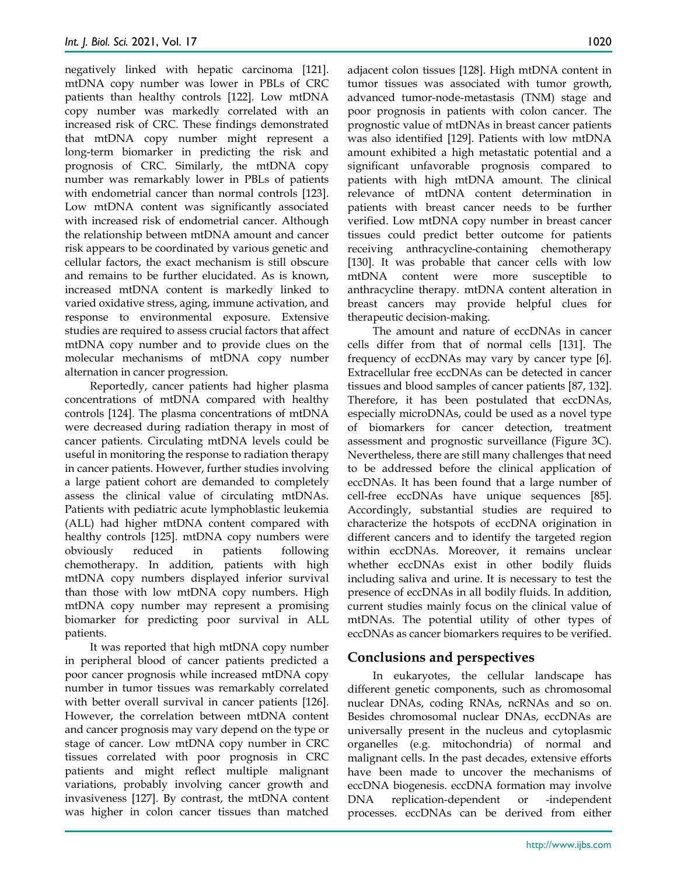negatively linked with hepatic carcinoma [121]. mtDNA copy number was lower in PBLs of CRC patients than healthy controls [122]. Low mtDNA copy number was markedly correlated with an increased risk of CRC. These findings demonstrated that mtDNA copy number might represent a long-term biomarker in predicting the risk and prognosis of CRC. Similarly, the mtDNA copy number was remarkably lower in PBLs of patients with endometrial cancer than normal controls [123]. Low mtDNA content was significantly associated with increased risk of endometrial cancer. Although the relationship between mtDNA amount and cancer risk appears to be coordinated by various genetic and cellular factors, the exact mechanism is still obscure and remains to be further elucidated. As is known, increased mtDNA content is markedly linked to varied oxidative stress, aging, immune activation, and response to environmental exposure. Extensive studies are required to assess crucial factors that affect mtDNA copy number and to provide clues on the molecular mechanisms of mtDNA copy number alternation in cancer progression.

Reportedly, cancer patients had higher plasma concentrations of mtDNA compared with healthy controls [124]. The plasma concentrations of mtDNA were decreased during radiation therapy in most of cancer patients. Circulating mtDNA levels could be useful in monitoring the response to radiation therapy in cancer patients. However, further studies involving a large patient cohort are demanded to completely assess the clinical value of circulating mtDNAs. Patients with pediatric acute lymphoblastic leukemia (ALL) had higher mtDNA content compared with healthy controls [125]. mtDNA copy numbers were obviously reduced in patients following chemotherapy. In addition, patients with high mtDNA copy numbers displayed inferior survival than those with low mtDNA copy numbers. High mtDNA copy number may represent a promising biomarker for predicting poor survival in ALL patients.

It was reported that high mtDNA copy number in peripheral blood of cancer patients predicted a poor cancer prognosis while increased mtDNA copy number in tumor tissues was remarkably correlated with better overall survival in cancer patients [126]. However, the correlation between mtDNA content and cancer prognosis may vary depend on the type or stage of cancer. Low mtDNA copy number in CRC tissues correlated with poor prognosis in CRC patients and might reflect multiple malignant variations, probably involving cancer growth and invasiveness [127]. By contrast, the mtDNA content was higher in colon cancer tissues than matched

adjacent colon tissues [128]. High mtDNA content in tumor tissues was associated with tumor growth, advanced tumor-node-metastasis (TNM) stage and poor prognosis in patients with colon cancer. The prognostic value of mtDNAs in breast cancer patients was also identified [129]. Patients with low mtDNA amount exhibited a high metastatic potential and a significant unfavorable prognosis compared to patients with high mtDNA amount. The clinical relevance of mtDNA content determination in patients with breast cancer needs to be further verified. Low mtDNA copy number in breast cancer tissues could predict better outcome for patients receiving anthracycline-containing chemotherapy [130]. It was probable that cancer cells with low mtDNA content were more susceptible to anthracycline therapy. mtDNA content alteration in breast cancers may provide helpful clues for therapeutic decision-making.

The amount and nature of eccDNAs in cancer cells differ from that of normal cells [131]. The frequency of eccDNAs may vary by cancer type [6]. Extracellular free eccDNAs can be detected in cancer tissues and blood samples of cancer patients [87, 132]. Therefore, it has been postulated that eccDNAs, especially microDNAs, could be used as a novel type of biomarkers for cancer detection, treatment assessment and prognostic surveillance (Figure 3C). Nevertheless, there are still many challenges that need to be addressed before the clinical application of eccDNAs. It has been found that a large number of cell-free eccDNAs have unique sequences [85]. Accordingly, substantial studies are required to characterize the hotspots of eccDNA origination in different cancers and to identify the targeted region within eccDNAs. Moreover, it remains unclear whether eccDNAs exist in other bodily fluids including saliva and urine. It is necessary to test the presence of eccDNAs in all bodily fluids. In addition, current studies mainly focus on the clinical value of mtDNAs. The potential utility of other types of eccDNAs as cancer biomarkers requires to be verified.

## **Conclusions and perspectives**

In eukaryotes, the cellular landscape has different genetic components, such as chromosomal nuclear DNAs, coding RNAs, ncRNAs and so on. Besides chromosomal nuclear DNAs, eccDNAs are universally present in the nucleus and cytoplasmic organelles (e.g. mitochondria) of normal and malignant cells. In the past decades, extensive efforts have been made to uncover the mechanisms of eccDNA biogenesis. eccDNA formation may involve DNA replication-dependent or -independent processes. eccDNAs can be derived from either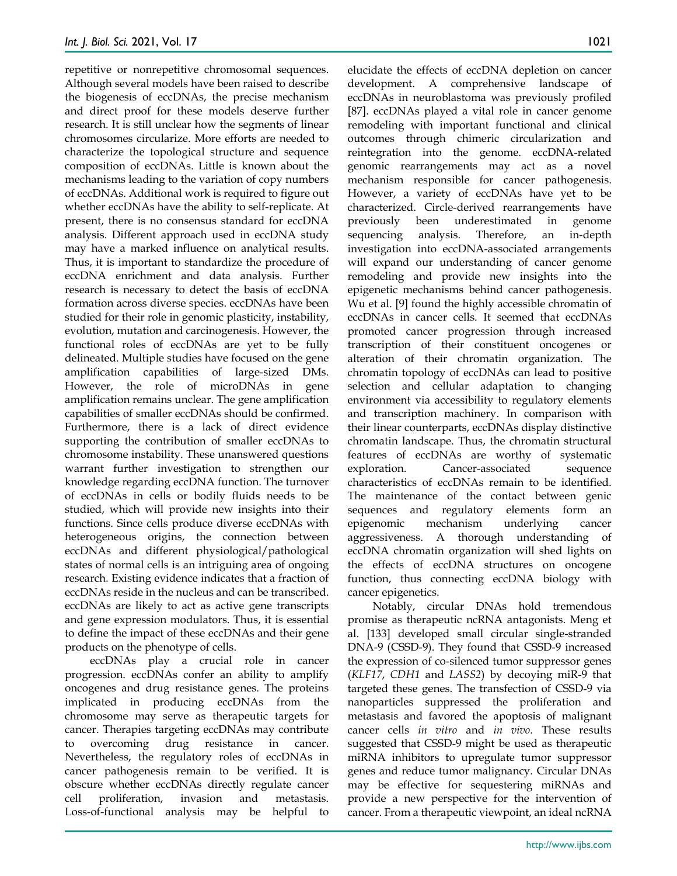repetitive or nonrepetitive chromosomal sequences. Although several models have been raised to describe the biogenesis of eccDNAs, the precise mechanism and direct proof for these models deserve further research. It is still unclear how the segments of linear chromosomes circularize. More efforts are needed to characterize the topological structure and sequence composition of eccDNAs. Little is known about the mechanisms leading to the variation of copy numbers of eccDNAs. Additional work is required to figure out whether eccDNAs have the ability to self-replicate. At present, there is no consensus standard for eccDNA analysis. Different approach used in eccDNA study may have a marked influence on analytical results. Thus, it is important to standardize the procedure of eccDNA enrichment and data analysis. Further research is necessary to detect the basis of eccDNA formation across diverse species. eccDNAs have been studied for their role in genomic plasticity, instability, evolution, mutation and carcinogenesis. However, the functional roles of eccDNAs are yet to be fully delineated. Multiple studies have focused on the gene amplification capabilities of large-sized DMs. However, the role of microDNAs in gene amplification remains unclear. The gene amplification capabilities of smaller eccDNAs should be confirmed. Furthermore, there is a lack of direct evidence supporting the contribution of smaller eccDNAs to chromosome instability. These unanswered questions warrant further investigation to strengthen our knowledge regarding eccDNA function. The turnover of eccDNAs in cells or bodily fluids needs to be studied, which will provide new insights into their functions. Since cells produce diverse eccDNAs with heterogeneous origins, the connection between eccDNAs and different physiological/pathological states of normal cells is an intriguing area of ongoing research. Existing evidence indicates that a fraction of eccDNAs reside in the nucleus and can be transcribed. eccDNAs are likely to act as active gene transcripts and gene expression modulators. Thus, it is essential to define the impact of these eccDNAs and their gene products on the phenotype of cells.

eccDNAs play a crucial role in cancer progression. eccDNAs confer an ability to amplify oncogenes and drug resistance genes. The proteins implicated in producing eccDNAs from the chromosome may serve as therapeutic targets for cancer. Therapies targeting eccDNAs may contribute to overcoming drug resistance in cancer. Nevertheless, the regulatory roles of eccDNAs in cancer pathogenesis remain to be verified. It is obscure whether eccDNAs directly regulate cancer cell proliferation, invasion and metastasis. Loss-of-functional analysis may be helpful to

elucidate the effects of eccDNA depletion on cancer development. A comprehensive landscape of eccDNAs in neuroblastoma was previously profiled [87]. eccDNAs played a vital role in cancer genome remodeling with important functional and clinical outcomes through chimeric circularization and reintegration into the genome. eccDNA-related genomic rearrangements may act as a novel mechanism responsible for cancer pathogenesis. However, a variety of eccDNAs have yet to be characterized. Circle-derived rearrangements have previously been underestimated in genome sequencing analysis. Therefore, an in-depth investigation into eccDNA-associated arrangements will expand our understanding of cancer genome remodeling and provide new insights into the epigenetic mechanisms behind cancer pathogenesis. Wu et al. [9] found the highly accessible chromatin of eccDNAs in cancer cells. It seemed that eccDNAs promoted cancer progression through increased transcription of their constituent oncogenes or alteration of their chromatin organization. The chromatin topology of eccDNAs can lead to positive selection and cellular adaptation to changing environment via accessibility to regulatory elements and transcription machinery. In comparison with their linear counterparts, eccDNAs display distinctive chromatin landscape. Thus, the chromatin structural features of eccDNAs are worthy of systematic exploration. Cancer-associated sequence characteristics of eccDNAs remain to be identified. The maintenance of the contact between genic sequences and regulatory elements form an epigenomic mechanism underlying cancer aggressiveness. A thorough understanding of eccDNA chromatin organization will shed lights on the effects of eccDNA structures on oncogene function, thus connecting eccDNA biology with cancer epigenetics.

Notably, circular DNAs hold tremendous promise as therapeutic ncRNA antagonists. Meng et al. [133] developed small circular single-stranded DNA-9 (CSSD-9). They found that CSSD-9 increased the expression of co-silenced tumor suppressor genes (*KLF17*, *CDH1* and *LASS2*) by decoying miR-9 that targeted these genes. The transfection of CSSD-9 via nanoparticles suppressed the proliferation and metastasis and favored the apoptosis of malignant cancer cells *in vitro* and *in vivo*. These results suggested that CSSD-9 might be used as therapeutic miRNA inhibitors to upregulate tumor suppressor genes and reduce tumor malignancy. Circular DNAs may be effective for sequestering miRNAs and provide a new perspective for the intervention of cancer. From a therapeutic viewpoint, an ideal ncRNA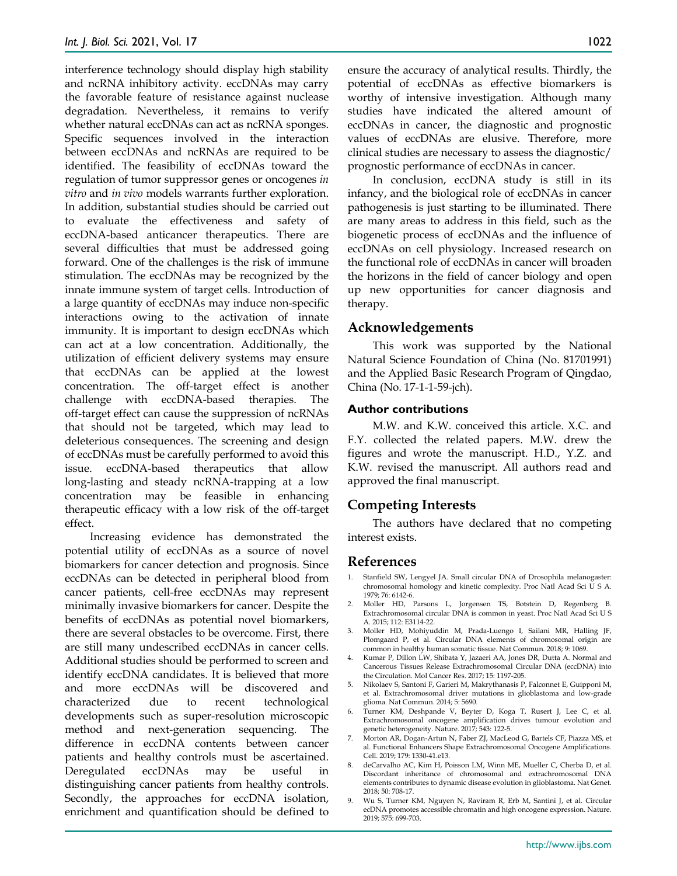interference technology should display high stability and ncRNA inhibitory activity. eccDNAs may carry the favorable feature of resistance against nuclease degradation. Nevertheless, it remains to verify whether natural eccDNAs can act as ncRNA sponges. Specific sequences involved in the interaction between eccDNAs and ncRNAs are required to be identified. The feasibility of eccDNAs toward the regulation of tumor suppressor genes or oncogenes *in vitro* and *in vivo* models warrants further exploration. In addition, substantial studies should be carried out to evaluate the effectiveness and safety of eccDNA-based anticancer therapeutics. There are several difficulties that must be addressed going forward. One of the challenges is the risk of immune stimulation. The eccDNAs may be recognized by the innate immune system of target cells. Introduction of a large quantity of eccDNAs may induce non-specific interactions owing to the activation of innate immunity. It is important to design eccDNAs which can act at a low concentration. Additionally, the utilization of efficient delivery systems may ensure that eccDNAs can be applied at the lowest concentration. The off-target effect is another challenge with eccDNA-based therapies. The off-target effect can cause the suppression of ncRNAs that should not be targeted, which may lead to deleterious consequences. The screening and design of eccDNAs must be carefully performed to avoid this issue. eccDNA-based therapeutics that allow long-lasting and steady ncRNA-trapping at a low concentration may be feasible in enhancing therapeutic efficacy with a low risk of the off-target effect.

Increasing evidence has demonstrated the potential utility of eccDNAs as a source of novel biomarkers for cancer detection and prognosis. Since eccDNAs can be detected in peripheral blood from cancer patients, cell-free eccDNAs may represent minimally invasive biomarkers for cancer. Despite the benefits of eccDNAs as potential novel biomarkers, there are several obstacles to be overcome. First, there are still many undescribed eccDNAs in cancer cells. Additional studies should be performed to screen and identify eccDNA candidates. It is believed that more and more eccDNAs will be discovered and characterized due to recent technological developments such as super-resolution microscopic method and next-generation sequencing. The difference in eccDNA contents between cancer patients and healthy controls must be ascertained. Deregulated eccDNAs may be useful in distinguishing cancer patients from healthy controls. Secondly, the approaches for eccDNA isolation, enrichment and quantification should be defined to

ensure the accuracy of analytical results. Thirdly, the potential of eccDNAs as effective biomarkers is worthy of intensive investigation. Although many studies have indicated the altered amount of eccDNAs in cancer, the diagnostic and prognostic values of eccDNAs are elusive. Therefore, more clinical studies are necessary to assess the diagnostic/ prognostic performance of eccDNAs in cancer.

In conclusion, eccDNA study is still in its infancy, and the biological role of eccDNAs in cancer pathogenesis is just starting to be illuminated. There are many areas to address in this field, such as the biogenetic process of eccDNAs and the influence of eccDNAs on cell physiology. Increased research on the functional role of eccDNAs in cancer will broaden the horizons in the field of cancer biology and open up new opportunities for cancer diagnosis and therapy.

#### **Acknowledgements**

This work was supported by the National Natural Science Foundation of China (No. 81701991) and the Applied Basic Research Program of Qingdao, China (No. 17-1-1-59-jch).

#### **Author contributions**

M.W. and K.W. conceived this article. X.C. and F.Y. collected the related papers. M.W. drew the figures and wrote the manuscript. H.D., Y.Z. and K.W. revised the manuscript. All authors read and approved the final manuscript.

## **Competing Interests**

The authors have declared that no competing interest exists.

#### **References**

- 1. Stanfield SW, Lengyel JA. Small circular DNA of Drosophila melanogaster: chromosomal homology and kinetic complexity. Proc Natl Acad Sci U S A. 1979; 76: 6142-6.
- 2. Moller HD, Parsons L, Jorgensen TS, Botstein D, Regenberg B. Extrachromosomal circular DNA is common in yeast. Proc Natl Acad Sci U S A. 2015; 112: E3114-22.
- 3. Moller HD, Mohiyuddin M, Prada-Luengo I, Sailani MR, Halling JF, Plomgaard P, et al. Circular DNA elements of chromosomal origin are common in healthy human somatic tissue. Nat Commun. 2018; 9: 1069.
- 4. Kumar P, Dillon LW, Shibata Y, Jazaeri AA, Jones DR, Dutta A. Normal and Cancerous Tissues Release Extrachromosomal Circular DNA (eccDNA) into the Circulation. Mol Cancer Res. 2017; 15: 1197-205.
- 5. Nikolaev S, Santoni F, Garieri M, Makrythanasis P, Falconnet E, Guipponi M, et al. Extrachromosomal driver mutations in glioblastoma and low-grade glioma. Nat Commun. 2014; 5: 5690.
- 6. Turner KM, Deshpande V, Beyter D, Koga T, Rusert J, Lee C, et al. Extrachromosomal oncogene amplification drives tumour evolution and genetic heterogeneity. Nature. 2017; 543: 122-5.
- 7. Morton AR, Dogan-Artun N, Faber ZJ, MacLeod G, Bartels CF, Piazza MS, et al. Functional Enhancers Shape Extrachromosomal Oncogene Amplifications. Cell. 2019; 179: 1330-41.e13.
- 8. deCarvalho AC, Kim H, Poisson LM, Winn ME, Mueller C, Cherba D, et al. Discordant inheritance of chromosomal and extrachromosomal DNA elements contributes to dynamic disease evolution in glioblastoma. Nat Genet. 2018; 50: 708-17.
- 9. Wu S, Turner KM, Nguyen N, Raviram R, Erb M, Santini J, et al. Circular ecDNA promotes accessible chromatin and high oncogene expression. Nature. 2019; 575: 699-703.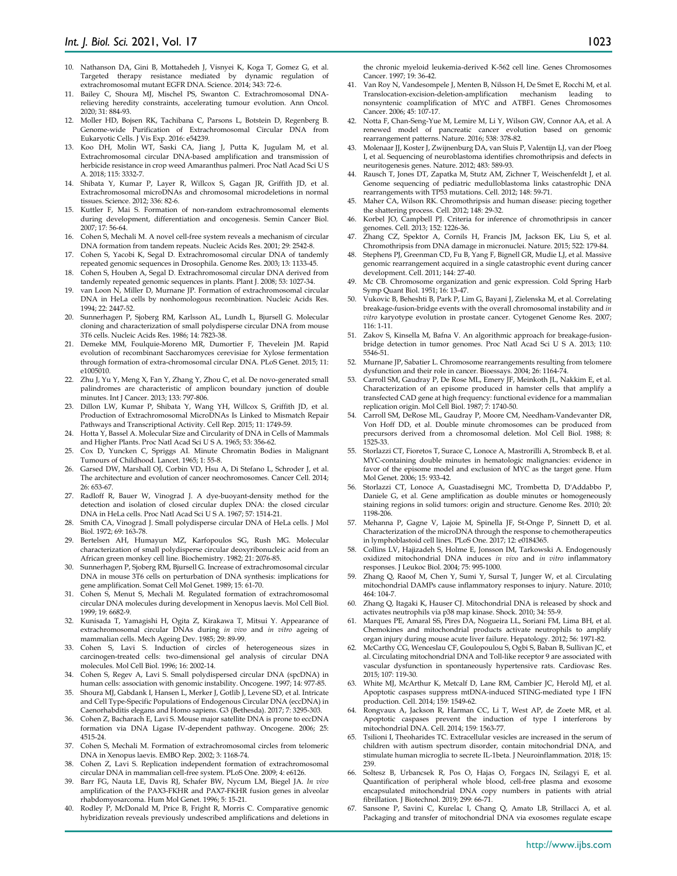- 10. Nathanson DA, Gini B, Mottahedeh J, Visnyei K, Koga T, Gomez G, et al. Targeted therapy resistance mediated by dynamic regulation of extrachromosomal mutant EGFR DNA. Science. 2014; 343: 72-6.
- 11. Bailey C, Shoura MJ, Mischel PS, Swanton C. Extrachromosomal DNArelieving heredity constraints, accelerating tumour evolution. Ann Oncol. 2020; 31: 884-93.
- 12. Moller HD, Bojsen RK, Tachibana C, Parsons L, Botstein D, Regenberg B. Genome-wide Purification of Extrachromosomal Circular DNA from Eukaryotic Cells. J Vis Exp. 2016: e54239.
- 13. Koo DH, Molin WT, Saski CA, Jiang J, Putta K, Jugulam M, et al. Extrachromosomal circular DNA-based amplification and transmission of herbicide resistance in crop weed Amaranthus palmeri. Proc Natl Acad Sci U S A. 2018; 115: 3332-7.
- 14. Shibata Y, Kumar P, Layer R, Willcox S, Gagan JR, Griffith JD, et al. Extrachromosomal microDNAs and chromosomal microdeletions in normal tissues. Science. 2012; 336: 82-6.
- 15. Kuttler F, Mai S. Formation of non-random extrachromosomal elements during development, differentiation and oncogenesis. Semin Cancer Biol. 2007; 17: 56-64.
- 16. Cohen S, Mechali M. A novel cell-free system reveals a mechanism of circular DNA formation from tandem repeats. Nucleic Acids Res. 2001; 29: 2542-8.
- 17. Cohen S, Yacobi K, Segal D. Extrachromosomal circular DNA of tandemly repeated genomic sequences in Drosophila. Genome Res. 2003; 13: 1133-45.
- 18. Cohen S, Houben A, Segal D. Extrachromosomal circular DNA derived from tandemly repeated genomic sequences in plants. Plant J. 2008; 53: 1027-34.
- 19. van Loon N, Miller D, Murnane JP. Formation of extrachromosomal circular DNA in HeLa cells by nonhomologous recombination. Nucleic Acids Res. 1994; 22: 2447-52.
- 20. Sunnerhagen P, Sjoberg RM, Karlsson AL, Lundh L, Bjursell G. Molecular cloning and characterization of small polydisperse circular DNA from mouse 3T6 cells. Nucleic Acids Res. 1986; 14: 7823-38.
- 21. Demeke MM, Foulquie-Moreno MR, Dumortier F, Thevelein JM. Rapid evolution of recombinant Saccharomyces cerevisiae for Xylose fermentation through formation of extra-chromosomal circular DNA. PLoS Genet. 2015; 11: e1005010.
- 22. Zhu J, Yu Y, Meng X, Fan Y, Zhang Y, Zhou C, et al. De novo-generated small palindromes are characteristic of amplicon boundary junction of double minutes. Int J Cancer. 2013; 133: 797-806.
- 23. Dillon LW, Kumar P, Shibata Y, Wang YH, Willcox S, Griffith JD, et al. Production of Extrachromosomal MicroDNAs Is Linked to Mismatch Repair Pathways and Transcriptional Activity. Cell Rep. 2015; 11: 1749-59.
- 24. Hotta Y, Bassel A. Molecular Size and Circularity of DNA in Cells of Mammals and Higher Plants. Proc Natl Acad Sci U S A. 1965; 53: 356-62.
- 25. Cox D, Yuncken C, Spriggs AI. Minute Chromatin Bodies in Malignant Tumours of Childhood. Lancet. 1965; 1: 55-8.
- 26. Garsed DW, Marshall OJ, Corbin VD, Hsu A, Di Stefano L, Schroder J, et al. The architecture and evolution of cancer neochromosomes. Cancer Cell. 2014; 26: 653-67.
- 27. Radloff R, Bauer W, Vinograd J. A dye-buoyant-density method for the detection and isolation of closed circular duplex DNA: the closed circular DNA in HeLa cells. Proc Natl Acad Sci U S A. 1967; 57: 1514-21.
- 28. Smith CA, Vinograd J. Small polydisperse circular DNA of HeLa cells. J Mol Biol. 1972; 69: 163-78.
- 29. Bertelsen AH, Humayun MZ, Karfopoulos SG, Rush MG. Molecular characterization of small polydisperse circular deoxyribonucleic acid from an African green monkey cell line. Biochemistry. 1982; 21: 2076-85.
- 30. Sunnerhagen P, Sjoberg RM, Bjursell G. Increase of extrachromosomal circular DNA in mouse 3T6 cells on perturbation of DNA synthesis: implications for gene amplification. Somat Cell Mol Genet. 1989; 15: 61-70.
- 31. Cohen S, Menut S, Mechali M. Regulated formation of extrachromosomal circular DNA molecules during development in Xenopus laevis. Mol Cell Biol. 1999; 19: 6682-9.
- 32. Kunisada T, Yamagishi H, Ogita Z, Kirakawa T, Mitsui Y. Appearance of extrachromosomal circular DNAs during *in vivo* and *in vitro* ageing of mammalian cells. Mech Ageing Dev. 1985; 29: 89-99.
- 33. Cohen S, Lavi S. Induction of circles of heterogeneous sizes in carcinogen-treated cells: two-dimensional gel analysis of circular DNA molecules. Mol Cell Biol. 1996; 16: 2002-14.
- 34. Cohen S, Regev A, Lavi S. Small polydispersed circular DNA (spcDNA) in human cells: association with genomic instability. Oncogene. 1997; 14: 977-85.
- 35. Shoura MJ, Gabdank I, Hansen L, Merker J, Gotlib J, Levene SD, et al. Intricate and Cell Type-Specific Populations of Endogenous Circular DNA (eccDNA) in Caenorhabditis elegans and Homo sapiens. G3 (Bethesda). 2017; 7: 3295-303.
- 36. Cohen Z, Bacharach E, Lavi S. Mouse major satellite DNA is prone to eccDNA formation via DNA Ligase IV-dependent pathway. Oncogene. 2006; 25: 4515-24.
- 37. Cohen S, Mechali M. Formation of extrachromosomal circles from telomeric DNA in Xenopus laevis. EMBO Rep. 2002; 3: 1168-74.
- Cohen Z, Lavi S. Replication independent formation of extrachromosomal circular DNA in mammalian cell-free system. PLoS One. 2009; 4: e6126.
- 39. Barr FG, Nauta LE, Davis RJ, Schafer BW, Nycum LM, Biegel JA. *In vivo* amplification of the PAX3-FKHR and PAX7-FKHR fusion genes in alveolar rhabdomyosarcoma. Hum Mol Genet. 1996; 5: 15-21.
- 40. Rodley P, McDonald M, Price B, Fright R, Morris C. Comparative genomic hybridization reveals previously undescribed amplifications and deletions in

the chronic myeloid leukemia-derived K-562 cell line. Genes Chromosomes Cancer. 1997; 19: 36-42.

- 41. Van Roy N, Vandesompele J, Menten B, Nilsson H, De Smet E, Rocchi M, et al. Translocation-excision-deletion-amplification mechanism leading nonsyntenic coamplification of MYC and ATBF1. Genes Chromosomes Cancer. 2006; 45: 107-17.
- 42. Notta F, Chan-Seng-Yue M, Lemire M, Li Y, Wilson GW, Connor AA, et al. A renewed model of pancreatic cancer evolution based on genomic rearrangement patterns. Nature. 2016; 538: 378-82.
- 43. Molenaar JJ, Koster J, Zwijnenburg DA, van Sluis P, Valentijn LJ, van der Ploeg I, et al. Sequencing of neuroblastoma identifies chromothripsis and defects in neuritogenesis genes. Nature. 2012; 483: 589-93.
- 44. Rausch T, Jones DT, Zapatka M, Stutz AM, Zichner T, Weischenfeldt J, et al. Genome sequencing of pediatric medulloblastoma links catastrophic DNA rearrangements with TP53 mutations. Cell. 2012; 148: 59-71.
- 45. Maher CA, Wilson RK. Chromothripsis and human disease: piecing together the shattering process. Cell. 2012; 148: 29-32.
- 46. Korbel JO, Campbell PJ. Criteria for inference of chromothripsis in cancer genomes. Cell. 2013; 152: 1226-36.
- 47. Zhang CZ, Spektor A, Cornils H, Francis JM, Jackson EK, Liu S, et al. Chromothripsis from DNA damage in micronuclei. Nature. 2015; 522: 179-84.
- 48. Stephens PJ, Greenman CD, Fu B, Yang F, Bignell GR, Mudie LJ, et al. Massive genomic rearrangement acquired in a single catastrophic event during cancer development. Cell. 2011; 144: 27-40.
- 49. Mc CB. Chromosome organization and genic expression. Cold Spring Harb Symp Quant Biol. 1951; 16: 13-47.
- 50. Vukovic B, Beheshti B, Park P, Lim G, Bayani J, Zielenska M, et al. Correlating breakage-fusion-bridge events with the overall chromosomal instability and *in vitro* karyotype evolution in prostate cancer. Cytogenet Genome Res. 2007; 116: 1-11.
- 51. Zakov S, Kinsella M, Bafna V. An algorithmic approach for breakage-fusionbridge detection in tumor genomes. Proc Natl Acad Sci U S A. 2013; 110: 5546-51.
- 52. Murnane JP, Sabatier L. Chromosome rearrangements resulting from telomere dysfunction and their role in cancer. Bioessays. 2004; 26: 1164-74.
- 53. Carroll SM, Gaudray P, De Rose ML, Emery JF, Meinkoth JL, Nakkim E, et al. Characterization of an episome produced in hamster cells that amplify a transfected CAD gene at high frequency: functional evidence for a mammalian replication origin. Mol Cell Biol. 1987; 7: 1740-50.
- 54. Carroll SM, DeRose ML, Gaudray P, Moore CM, Needham-Vandevanter DR, Von Hoff DD, et al. Double minute chromosomes can be produced from precursors derived from a chromosomal deletion. Mol Cell Biol. 1988; 8: 1525-33.
- 55. Storlazzi CT, Fioretos T, Surace C, Lonoce A, Mastrorilli A, Strombeck B, et al. MYC-containing double minutes in hematologic malignancies: evidence in favor of the episome model and exclusion of MYC as the target gene. Hum Mol Genet. 2006; 15: 933-42.
- 56. Storlazzi CT, Lonoce A, Guastadisegni MC, Trombetta D, D'Addabbo P, Daniele G, et al. Gene amplification as double minutes or homogeneously staining regions in solid tumors: origin and structure. Genome Res. 2010; 20: 1198-206.
- 57. Mehanna P, Gagne V, Lajoie M, Spinella JF, St-Onge P, Sinnett D, et al. Characterization of the microDNA through the response to chemotherapeutics in lymphoblastoid cell lines. PLoS One. 2017; 12: e0184365.
- 58. Collins LV, Hajizadeh S, Holme E, Jonsson IM, Tarkowski A. Endogenously oxidized mitochondrial DNA induces *in vivo* and *in vitro* inflammatory responses. J Leukoc Biol. 2004; 75: 995-1000.
- 59. Zhang Q, Raoof M, Chen Y, Sumi Y, Sursal T, Junger W, et al. Circulating mitochondrial DAMPs cause inflammatory responses to injury. Nature. 2010; 464: 104-7.
- 60. Zhang Q, Itagaki K, Hauser CJ. Mitochondrial DNA is released by shock and activates neutrophils via p38 map kinase. Shock. 2010; 34: 55-9.
- 61. Marques PE, Amaral SS, Pires DA, Nogueira LL, Soriani FM, Lima BH, et al. Chemokines and mitochondrial products activate neutrophils to amplify organ injury during mouse acute liver failure. Hepatology. 2012; 56: 1971-82.
- 62. McCarthy CG, Wenceslau CF, Goulopoulou S, Ogbi S, Baban B, Sullivan JC, et al. Circulating mitochondrial DNA and Toll-like receptor 9 are associated with vascular dysfunction in spontaneously hypertensive rats. Cardiovasc Res. 2015; 107: 119-30.
- 63. White MJ, McArthur K, Metcalf D, Lane RM, Cambier JC, Herold MJ, et al. Apoptotic caspases suppress mtDNA-induced STING-mediated type I IFN production. Cell. 2014; 159: 1549-62.
- 64. Rongvaux A, Jackson R, Harman CC, Li T, West AP, de Zoete MR, et al. Apoptotic caspases prevent the induction of type I interferons by mitochondrial DNA. Cell. 2014; 159: 1563-77.
- 65. Tsilioni I, Theoharides TC. Extracellular vesicles are increased in the serum of children with autism spectrum disorder, contain mitochondrial DNA, and stimulate human microglia to secrete IL-1beta. J Neuroinflammation. 2018; 15: 239.
- 66. Soltesz B, Urbancsek R, Pos O, Hajas O, Forgacs IN, Szilagyi E, et al. Quantification of peripheral whole blood, cell-free plasma and exosome encapsulated mitochondrial DNA copy numbers in patients with atrial fibrillation. J Biotechnol. 2019; 299: 66-71.
- Sansone P, Savini C, Kurelac I, Chang Q, Amato LB, Strillacci A, et al. Packaging and transfer of mitochondrial DNA via exosomes regulate escape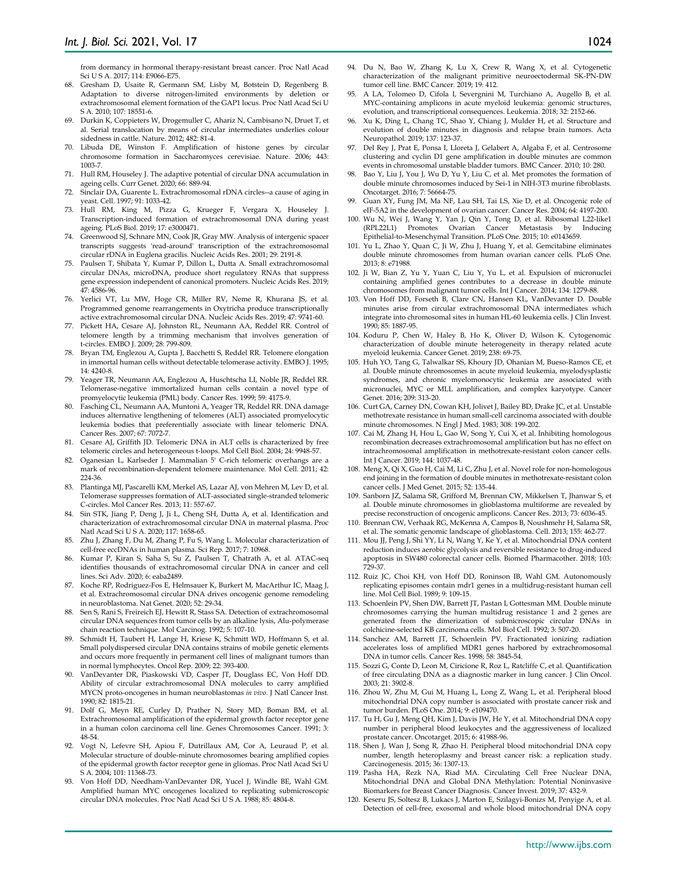from dormancy in hormonal therapy-resistant breast cancer. Proc Natl Acad Sci U S A. 2017; 114: E9066-E75.

- 68. Gresham D, Usaite R, Germann SM, Lisby M, Botstein D, Regenberg B. Adaptation to diverse nitrogen-limited environments by deletion or extrachromosomal element formation of the GAP1 locus. Proc Natl Acad Sci U S A. 2010; 107: 18551-6.
- 69. Durkin K, Coppieters W, Drogemuller C, Ahariz N, Cambisano N, Druet T, et al. Serial translocation by means of circular intermediates underlies colour sidedness in cattle. Nature. 2012; 482: 81-4.
- 70. Libuda DE, Winston F. Amplification of histone genes by circular chromosome formation in Saccharomyces cerevisiae. Nature. 2006; 443: 1003-7.
- 71. Hull RM, Houseley J. The adaptive potential of circular DNA accumulation in ageing cells. Curr Genet. 2020; 66: 889-94.
- Sinclair DA, Guarente L. Extrachromosomal rDNA circles--a cause of aging in yeast. Cell. 1997; 91: 1033-42.
- 73. Hull RM, King M, Pizza G, Krueger F, Vergara X, Houseley J. Transcription-induced formation of extrachromosomal DNA during yeast ageing. PLoS Biol. 2019; 17: e3000471.
- 74. Greenwood SJ, Schnare MN, Cook JR, Gray MW. Analysis of intergenic spacer transcripts suggests 'read-around' transcription of the extrachromosomal circular rDNA in Euglena gracilis. Nucleic Acids Res. 2001; 29: 2191-8.
- 75. Paulsen T, Shibata Y, Kumar P, Dillon L, Dutta A. Small extrachromosomal circular DNAs, microDNA, produce short regulatory RNAs that suppress gene expression independent of canonical promoters. Nucleic Acids Res. 2019; 47: 4586-96.
- 76. Yerlici VT, Lu MW, Hoge CR, Miller RV, Neme R, Khurana JS, et al. Programmed genome rearrangements in Oxytricha produce transcriptionally active extrachromosomal circular DNA. Nucleic Acids Res. 2019; 47: 9741-60.
- Pickett HA, Cesare AJ, Johnston RL, Neumann AA, Reddel RR. Control of telomere length by a trimming mechanism that involves generation of t-circles. EMBO J. 2009; 28: 799-809.
- 78. Bryan TM, Englezou A, Gupta J, Bacchetti S, Reddel RR. Telomere elongation in immortal human cells without detectable telomerase activity. EMBO J. 1995; 14: 4240-8.
- 79. Yeager TR, Neumann AA, Englezou A, Huschtscha LI, Noble JR, Reddel RR. Telomerase-negative immortalized human cells contain a novel type of promyelocytic leukemia (PML) body. Cancer Res. 1999; 59: 4175-9.
- 80. Fasching CL, Neumann AA, Muntoni A, Yeager TR, Reddel RR. DNA damage induces alternative lengthening of telomeres (ALT) associated promyelocytic leukemia bodies that preferentially associate with linear telomeric DNA. Cancer Res. 2007; 67: 7072-7.
- 81. Cesare AJ, Griffith JD. Telomeric DNA in ALT cells is characterized by free telomeric circles and heterogeneous t-loops. Mol Cell Biol. 2004; 24: 9948-57.
- 82. Oganesian L, Karlseder J. Mammalian 5' C-rich telomeric overhangs are a mark of recombination-dependent telomere maintenance. Mol Cell. 2011; 42: 224-36.
- 83. Plantinga MJ, Pascarelli KM, Merkel AS, Lazar AJ, von Mehren M, Lev D, et al. Telomerase suppresses formation of ALT-associated single-stranded telomeric C-circles. Mol Cancer Res. 2013; 11: 557-67.
- 84. Sin STK, Jiang P, Deng J, Ji L, Cheng SH, Dutta A, et al. Identification and characterization of extrachromosomal circular DNA in maternal plasma. Proc Natl Acad Sci U S A. 2020; 117: 1658-65.
- 85. Zhu J, Zhang F, Du M, Zhang P, Fu S, Wang L. Molecular characterization of cell-free eccDNAs in human plasma. Sci Rep. 2017; 7: 10968.
- 86. Kumar P, Kiran S, Saha S, Su Z, Paulsen T, Chatrath A, et al. ATAC-seq identifies thousands of extrachromosomal circular DNA in cancer and cell lines. Sci Adv. 2020; 6: eaba2489.
- 87. Koche RP, Rodriguez-Fos E, Helmsauer K, Burkert M, MacArthur IC, Maag J, et al. Extrachromosomal circular DNA drives oncogenic genome remodeling in neuroblastoma. Nat Genet. 2020; 52: 29-34.
- Sen S, Rani S, Freireich EJ, Hewitt R, Stass SA. Detection of extrachromosomal circular DNA sequences from tumor cells by an alkaline lysis, Alu-polymerase chain reaction technique. Mol Carcinog. 1992; 5: 107-10.
- Schmidt H, Taubert H, Lange H, Kriese K, Schmitt WD, Hoffmann S, et al. Small polydispersed circular DNA contains strains of mobile genetic elements and occurs more frequently in permanent cell lines of malignant tumors than in normal lymphocytes. Oncol Rep. 2009; 22: 393-400.
- 90. VanDevanter DR, Piaskowski VD, Casper JT, Douglass EC, Von Hoff DD. Ability of circular extrachromosomal DNA molecules to carry amplified MYCN proto-oncogenes in human neuroblastomas *in vivo*. J Natl Cancer Inst. 1990; 82: 1815-21.
- 91. Dolf G, Meyn RE, Curley D, Prather N, Story MD, Boman BM, et al. Extrachromosomal amplification of the epidermal growth factor receptor gene in a human colon carcinoma cell line. Genes Chromosomes Cancer. 1991; 3: 48-54.
- 92. Vogt N, Lefevre SH, Apiou F, Dutrillaux AM, Cor A, Leuraud P, et al. Molecular structure of double-minute chromosomes bearing amplified copies of the epidermal growth factor receptor gene in gliomas. Proc Natl Acad Sci U S A. 2004; 101: 11368-73.
- 93. Von Hoff DD, Needham-VanDevanter DR, Yucel J, Windle BE, Wahl GM. Amplified human MYC oncogenes localized to replicating submicroscopic circular DNA molecules. Proc Natl Acad Sci U S A. 1988; 85: 4804-8.
- 94. Du N, Bao W, Zhang K, Lu X, Crew R, Wang X, et al. Cytogenetic characterization of the malignant primitive neuroectodermal SK-PN-DW tumor cell line. BMC Cancer. 2019; 19: 412.
- 95. A LA, Tolomeo D, Cifola I, Severgnini M, Turchiano A, Augello B, et al. MYC-containing amplicons in acute myeloid leukemia: genomic structures, evolution, and transcriptional consequences. Leukemia. 2018; 32: 2152-66.
- 96. Xu K, Ding L, Chang TC, Shao Y, Chiang J, Mulder H, et al. Structure and evolution of double minutes in diagnosis and relapse brain tumors. Acta Neuropathol. 2019; 137: 123-37.
- 97. Del Rey J, Prat E, Ponsa I, Lloreta J, Gelabert A, Algaba F, et al. Centrosome clustering and cyclin D1 gene amplification in double minutes are common events in chromosomal unstable bladder tumors. BMC Cancer. 2010; 10: 280.
- 98. Bao Y, Liu J, You J, Wu D, Yu Y, Liu C, et al. Met promotes the formation of double minute chromosomes induced by Sei-1 in NIH-3T3 murine fibroblasts. Oncotarget. 2016; 7: 56664-75.
- 99. Guan XY, Fung JM, Ma NF, Lau SH, Tai LS, Xie D, et al. Oncogenic role of eIF-5A2 in the development of ovarian cancer. Cancer Res. 2004; 64: 4197-200.
- 100. Wu N, Wei J, Wang Y, Yan J, Qin Y, Tong D, et al. Ribosomal L22-like1 (RPL22L1) Promotes Ovarian Cancer Metastasis by Inducing (RPL22L1) Promotes Ovarian Cancer Metastasis by Epithelial-to-Mesenchymal Transition. PLoS One. 2015; 10: e0143659.
- 101. Yu L, Zhao Y, Quan C, Ji W, Zhu J, Huang Y, et al. Gemcitabine eliminates double minute chromosomes from human ovarian cancer cells. PLoS One. 2013; 8: e71988.
- 102. Ji W, Bian Z, Yu Y, Yuan C, Liu Y, Yu L, et al. Expulsion of micronuclei containing amplified genes contributes to a decrease in double minute chromosomes from malignant tumor cells. Int J Cancer. 2014; 134: 1279-88.
- 103. Von Hoff DD, Forseth B, Clare CN, Hansen KL, VanDevanter D. Double minutes arise from circular extrachromosomal DNA intermediates which integrate into chromosomal sites in human HL-60 leukemia cells. J Clin Invest. 1990; 85: 1887-95.
- 104. Koduru P, Chen W, Haley B, Ho K, Oliver D, Wilson K. Cytogenomic characterization of double minute heterogeneity in therapy related acute myeloid leukemia. Cancer Genet. 2019; 238: 69-75.
- 105. Huh YO, Tang G, Talwalkar SS, Khoury JD, Ohanian M, Bueso-Ramos CE, et al. Double minute chromosomes in acute myeloid leukemia, myelodysplastic syndromes, and chronic myelomonocytic leukemia are associated with micronuclei, MYC or MLL amplification, and complex karyotype. Cancer Genet. 2016; 209: 313-20.
- 106. Curt GA, Carney DN, Cowan KH, Jolivet J, Bailey BD, Drake JC, et al. Unstable methotrexate resistance in human small-cell carcinoma associated with double minute chromosomes. N Engl J Med. 1983; 308: 199-202.
- 107. Cai M, Zhang H, Hou L, Gao W, Song Y, Cui X, et al. Inhibiting homologous recombination decreases extrachromosomal amplification but has no effect on intrachromosomal amplification in methotrexate-resistant colon cancer cells. Int J Cancer. 2019; 144: 1037-48.
- 108. Meng X, Qi X, Guo H, Cai M, Li C, Zhu J, et al. Novel role for non-homologous end joining in the formation of double minutes in methotrexate-resistant colon cancer cells. J Med Genet. 2015; 52: 135-44.
- 109. Sanborn JZ, Salama SR, Grifford M, Brennan CW, Mikkelsen T, Jhanwar S, et al. Double minute chromosomes in glioblastoma multiforme are revealed by precise reconstruction of oncogenic amplicons. Cancer Res. 2013; 73: 6036-45.
- 110. Brennan CW, Verhaak RG, McKenna A, Campos B, Noushmehr H, Salama SR, et al. The somatic genomic landscape of glioblastoma. Cell. 2013; 155: 462-77.
- 111. Mou JJ, Peng J, Shi YY, Li N, Wang Y, Ke Y, et al. Mitochondrial DNA content reduction induces aerobic glycolysis and reversible resistance to drug-induced apoptosis in SW480 colorectal cancer cells. Biomed Pharmacother. 2018; 103: 729-37.
- 112. Ruiz JC, Choi KH, von Hoff DD, Roninson IB, Wahl GM. Autonomously replicating episomes contain mdr1 genes in a multidrug-resistant human cell line. Mol Cell Biol. 1989; 9: 109-15.
- 113. Schoenlein PV, Shen DW, Barrett JT, Pastan I, Gottesman MM. Double minute chromosomes carrying the human multidrug resistance 1 and 2 genes are generated from the dimerization of submicroscopic circular DNAs in colchicine-selected KB carcinoma cells. Mol Biol Cell. 1992; 3: 507-20.
- 114. Sanchez AM, Barrett JT, Schoenlein PV. Fractionated ionizing radiation accelerates loss of amplified MDR1 genes harbored by extrachromosomal DNA in tumor cells. Cancer Res. 1998; 58: 3845-54.
- 115. Sozzi G, Conte D, Leon M, Ciricione R, Roz L, Ratcliffe C, et al. Quantification of free circulating DNA as a diagnostic marker in lung cancer. J Clin Oncol. 2003; 21: 3902-8.
- 116. Zhou W, Zhu M, Gui M, Huang L, Long Z, Wang L, et al. Peripheral blood mitochondrial DNA copy number is associated with prostate cancer risk and tumor burden. PLoS One. 2014; 9: e109470.
- 117. Tu H, Gu J, Meng QH, Kim J, Davis JW, He Y, et al. Mitochondrial DNA copy number in peripheral blood leukocytes and the aggressiveness of localized prostate cancer. Oncotarget. 2015; 6: 41988-96.
- 118. Shen J, Wan J, Song R, Zhao H. Peripheral blood mitochondrial DNA copy number, length heteroplasmy and breast cancer risk: a replication study. Carcinogenesis. 2015; 36: 1307-13.
- 119. Pasha HA, Rezk NA, Riad MA. Circulating Cell Free Nuclear DNA, Mitochondrial DNA and Global DNA Methylation: Potential Noninvasive Biomarkers for Breast Cancer Diagnosis. Cancer Invest. 2019; 37: 432-9.
- 120. Keseru JS, Soltesz B, Lukacs J, Marton E, Szilagyi-Bonizs M, Penyige A, et al. Detection of cell-free, exosomal and whole blood mitochondrial DNA copy